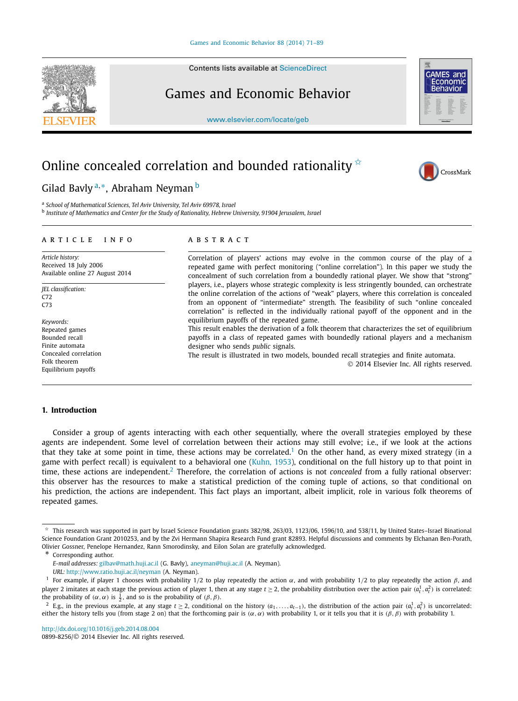Contents lists available at [ScienceDirect](http://www.ScienceDirect.com/)

# Games and Economic Behavior

[www.elsevier.com/locate/geb](http://www.elsevier.com/locate/geb)

# Online concealed correlation and bounded rationality  $\dot{x}$

## Gilad Bavly <sup>a</sup>*,*∗, Abraham Neyman <sup>b</sup>

<sup>a</sup> *School of Mathematical Sciences, Tel Aviv University, Tel Aviv 69978, Israel*

<sup>b</sup> *Institute of Mathematics and Center for the Study of Rationality, Hebrew University, 91904 Jerusalem, Israel*

#### A R T I C L E I N F O A B S T R A C T

*Article history:* Received 18 July 2006 Available online 27 August 2014

*JEL classification:*  $C72$ C73

*Keywords:* Repeated games Bounded recall Finite automata Concealed correlation Folk theorem Equilibrium payoffs

Correlation of players' actions may evolve in the common course of the play of a repeated game with perfect monitoring ("online correlation"). In this paper we study the concealment of such correlation from a boundedly rational player. We show that "strong" players, i.e., players whose strategic complexity is less stringently bounded, can orchestrate the online correlation of the actions of "weak" players, where this correlation is concealed from an opponent of "intermediate" strength. The feasibility of such "online concealed correlation" is reflected in the individually rational payoff of the opponent and in the equilibrium payoffs of the repeated game.

This result enables the derivation of a folk theorem that characterizes the set of equilibrium payoffs in a class of repeated games with boundedly rational players and a mechanism designer who sends *public* signals.

The result is illustrated in two models, bounded recall strategies and finite automata. © 2014 Elsevier Inc. All rights reserved.

#### **1. Introduction**

agents are independent. Some level of correlation between their actions may still evolve; i.e., if we look at the actions that they take at some point in time, these actions may be correlated.<sup>1</sup> On the other hand, as every mixed strategy (in a game with perfect recall) is equivalent to a behavioral one [\(Kuhn,](#page-18-0) 1953), conditional on the full history up to that point in time, these actions are independent.<sup>2</sup> Therefore, the correlation of actions is not *concealed* from a fully rational observer: this observer has the resources to make a statistical prediction of the coming tuple of actions, so that conditional on his prediction, the actions are independent. This fact plays an important, albeit implicit, role in various folk theorems of repeated games.

Consider a group of agents interacting with each other sequentially, where the overall strategies employed by these

<http://dx.doi.org/10.1016/j.geb.2014.08.004>

0899-8256/© 2014 Elsevier Inc. All rights reserved.







 $*$  This research was supported in part by Israel Science Foundation grants 382/98, 263/03, 1123/06, 1596/10, and 538/11, by United States–Israel Binational Science Foundation Grant 2010253, and by the Zvi Hermann Shapira Research Fund grant 82893. Helpful discussions and comments by Elchanan Ben-Porath, Olivier Gossner, Penelope Hernandez, Rann Smorodinsky, and Eilon Solan are gratefully acknowledged.

<sup>\*</sup> Corresponding author. *E-mail addresses:* [gilbav@math.huji.ac.il](mailto:gilbav@math.huji.ac.il) (G. Bavly), [aneyman@huji.ac.il](mailto:aneyman@huji.ac.il) (A. Neyman). *URL:* <http://www.ratio.huji.ac.il/neyman> (A. Neyman).

<sup>&</sup>lt;sup>1</sup> For example, if player 1 chooses with probability 1/2 to play repeatedly the action *α*, and with probability 1/2 to play repeatedly the action *β*, and player 2 imitates at each stage the previous action of player 1, then at any stage  $t\geq2$ , the probability distribution over the action pair  $(a^1_t,a^2_t)$  is correlated: the probability of  $(α, α)$  is  $\frac{1}{2}$ , and so is the probability of  $(β, β)$ .

 $^2$  E.g., in the previous example, at any stage  $t \geq 2$ , conditional on the history  $(a_1, \ldots, a_{t-1})$ , the distribution of the action pair  $(a_t^1, a_t^2)$  is uncorrelated: either the history tells you (from stage 2 on) that the forthcoming pair is  $(\alpha, \alpha)$  with probability 1, or it tells you that it is  $(\beta, \beta)$  with probability 1.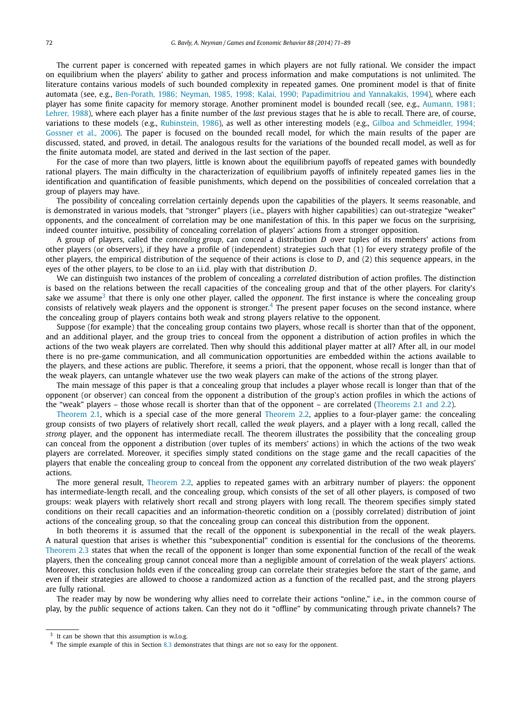The current paper is concerned with repeated games in which players are not fully rational. We consider the impact on equilibrium when the players' ability to gather and process information and make computations is not unlimited. The literature contains various models of such bounded complexity in repeated games. One prominent model is that of finite automata (see, e.g., Ben-Porath, 1986; Neyman, 1985, 1998; Kalai, [1990; Papadimitriou](#page-18-0) and Yannakakis, 1994), where each player has some finite capacity for memory storage. Another prominent model is bounded recall (see, e.g., [Aumann,](#page-18-0) 1981; [Lehrer,](#page-18-0) 1988), where each player has a finite number of the *last* previous stages that he is able to recall. There are, of course, variations to these models (e.g., [Rubinstein,](#page-18-0) 1986), as well as other interesting models (e.g., Gilboa and [Schmeidler,](#page-18-0) 1994; [Gossner](#page-18-0) et al., 2006). The paper is focused on the bounded recall model, for which the main results of the paper are discussed, stated, and proved, in detail. The analogous results for the variations of the bounded recall model, as well as for the finite automata model, are stated and derived in the last section of the paper.

For the case of more than two players, little is known about the equilibrium payoffs of repeated games with boundedly rational players. The main difficulty in the characterization of equilibrium payoffs of infinitely repeated games lies in the identification and quantification of feasible punishments, which depend on the possibilities of concealed correlation that a group of players may have.

The possibility of concealing correlation certainly depends upon the capabilities of the players. It seems reasonable, and is demonstrated in various models, that "stronger" players (i.e., players with higher capabilities) can out-strategize "weaker" opponents, and the concealment of correlation may be one manifestation of this. In this paper we focus on the surprising, indeed counter intuitive, possibility of concealing correlation of players' actions from a stronger opposition.

A group of players, called the *concealing group*, can *conceal* a distribution *D* over tuples of its members' actions from other players (or observers), if they have a profile of (independent) strategies such that (1) for every strategy profile of the other players, the empirical distribution of the sequence of their actions is close to *D*, and (2) this sequence appears, in the eyes of the other players, to be close to an i.i.d. play with that distribution *D*.

We can distinguish two instances of the problem of concealing a *correlated* distribution of action profiles. The distinction is based on the relations between the recall capacities of the concealing group and that of the other players. For clarity's sake we assume<sup>3</sup> that there is only one other player, called the *opponent*. The first instance is where the concealing group consists of relatively weak players and the opponent is stronger. $4$  The present paper focuses on the second instance, where the concealing group of players contains both weak and strong players relative to the opponent.

Suppose (for example) that the concealing group contains two players, whose recall is shorter than that of the opponent, and an additional player, and the group tries to conceal from the opponent a distribution of action profiles in which the actions of the two weak players are correlated. Then why should this additional player matter at all? After all, in our model there is no pre-game communication, and all communication opportunities are embedded within the actions available to the players, and these actions are public. Therefore, it seems a priori, that the opponent, whose recall is longer than that of the weak players, can untangle whatever use the two weak players can make of the actions of the strong player.

The main message of this paper is that a concealing group that includes a player whose recall is longer than that of the opponent (or observer) can conceal from the opponent a distribution of the group's action profiles in which the actions of the "weak" players – those whose recall is shorter than that of the opponent – are correlated [\(Theorems 2.1 and](#page-3-0) 2.2).

[Theorem 2.1,](#page-3-0) which is a special case of the more general [Theorem 2.2,](#page-4-0) applies to a four-player game: the concealing group consists of two players of relatively short recall, called the *weak* players, and a player with a long recall, called the *strong* player, and the opponent has intermediate recall. The theorem illustrates the possibility that the concealing group can conceal from the opponent a distribution (over tuples of its members' actions) in which the actions of the two weak players are correlated. Moreover, it specifies simply stated conditions on the stage game and the recall capacities of the players that enable the concealing group to conceal from the opponent *any* correlated distribution of the two weak players' actions.

The more general result, [Theorem 2.2,](#page-4-0) applies to repeated games with an arbitrary number of players: the opponent has intermediate-length recall, and the concealing group, which consists of the set of all other players, is composed of two groups: weak players with relatively short recall and strong players with long recall. The theorem specifies simply stated conditions on their recall capacities and an information-theoretic condition on a (possibly correlated) distribution of joint actions of the concealing group, so that the concealing group can conceal this distribution from the opponent.

In both theorems it is assumed that the recall of the opponent is subexponential in the recall of the weak players. A natural question that arises is whether this "subexponential" condition is essential for the conclusions of the theorems. [Theorem 2.3](#page-5-0) states that when the recall of the opponent is longer than some exponential function of the recall of the weak players, then the concealing group cannot conceal more than a negligible amount of correlation of the weak players' actions. Moreover, this conclusion holds even if the concealing group can correlate their strategies before the start of the game, and even if their strategies are allowed to choose a randomized action as a function of the recalled past, and the strong players are fully rational.

The reader may by now be wondering why allies need to correlate their actions "online," i.e., in the common course of play, by the *public* sequence of actions taken. Can they not do it "offline" by communicating through private channels? The

 $3$  It can be shown that this assumption is w.l.o.g.

<sup>4</sup> The simple example of this in Section [8.3](#page-16-0) demonstrates that things are not so easy for the opponent.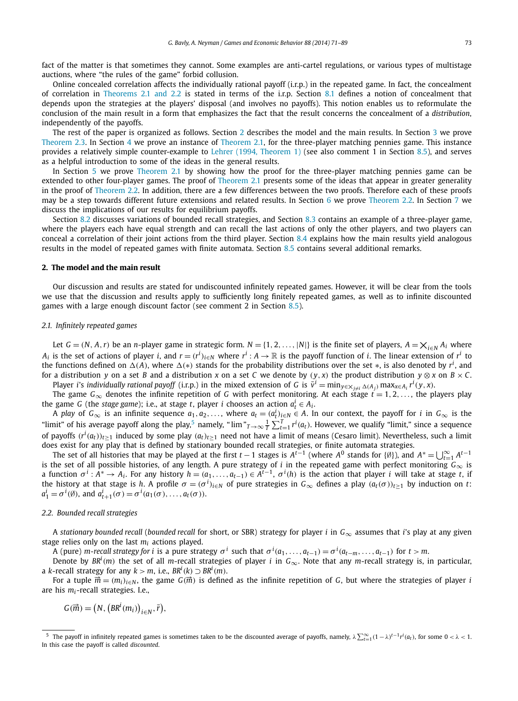fact of the matter is that sometimes they cannot. Some examples are anti-cartel regulations, or various types of multistage auctions, where "the rules of the game" forbid collusion.

Online concealed correlation affects the individually rational payoff (i.r.p.) in the repeated game. In fact, the concealment of correlation in [Theorems 2.1 and](#page-3-0) 2.2 is stated in terms of the i.r.p. Section [8.1](#page-15-0) defines a notion of concealment that depends upon the strategies at the players' disposal (and involves no payoffs). This notion enables us to reformulate the conclusion of the main result in a form that emphasizes the fact that the result concerns the concealment of a *distribution*, independently of the payoffs.

The rest of the paper is organized as follows. Section 2 describes the model and the main results. In Section [3](#page-5-0) we prove [Theorem 2.3.](#page-5-0) In Section [4](#page-6-0) we prove an instance of [Theorem 2.1,](#page-3-0) for the three-player matching pennies game. This instance provides a relatively simple counter-example to Lehrer (1994, [Theorem 1\)](#page-18-0) (see also comment 1 in Section [8.5\)](#page-18-0), and serves as a helpful introduction to some of the ideas in the general results.

In Section [5](#page-10-0) we prove [Theorem 2.1](#page-3-0) by showing how the proof for the three-player matching pennies game can be extended to other four-player games. The proof of [Theorem 2.1](#page-3-0) presents some of the ideas that appear in greater generality in the proof of [Theorem 2.2.](#page-4-0) In addition, there are a few differences between the two proofs. Therefore each of these proofs may be a step towards different future extensions and related results. In Section [6](#page-11-0) we prove [Theorem 2.2.](#page-4-0) In Section [7](#page-14-0) we discuss the implications of our results for equilibrium payoffs.

Section [8.2](#page-15-0) discusses variations of bounded recall strategies, and Section [8.3](#page-16-0) contains an example of a three-player game, where the players each have equal strength and can recall the last actions of only the other players, and two players can conceal a correlation of their joint actions from the third player. Section [8.4](#page-17-0) explains how the main results yield analogous results in the model of repeated games with finite automata. Section [8.5](#page-18-0) contains several additional remarks.

#### **2. The model and the main result**

Our discussion and results are stated for undiscounted infinitely repeated games. However, it will be clear from the tools we use that the discussion and results apply to sufficiently long finitely repeated games, as well as to infinite discounted games with a large enough discount factor (see comment 2 in Section [8.5\)](#page-18-0).

#### *2.1. Infinitely repeated games*

Let  $G = (N, A, r)$  be an *n*-player game in strategic form.  $N = \{1, 2, ..., |N|\}$  is the finite set of players,  $A = \bigtimes_{i \in N} A_i$  where  $A_i$  is the set of actions of player  $i$ , and  $r=(r^i)_{i\in N}$  where  $r^i:A\to\mathbb{R}$  is the payoff function of  $i.$  The linear extension of  $r^i$  to the functions defined on  $\Delta(A)$ , where  $\Delta(*)$  stands for the probability distributions over the set  $*$ , is also denoted by  $r^i$ , and for a distribution *y* on a set *B* and a distribution *x* on a set *C* we denote by  $(y, x)$  the product distribution  $y \otimes x$  on  $B \times C$ .

Player *i*'s *individually rational payoff* (i.r.p.) in the mixed extension of G is  $\bar{v}^i = \min_{y \in X_{j\neq i}} \Delta(A_j) \max_{x \in A_i} r^i(y, x)$ . The game  $G_{\infty}$  denotes the infinite repetition of G with perfect monitoring. At each stage  $t = 1, 2, \ldots$ , the players play the game *G* (the *stage game*); i.e., at stage *t*, player *i* chooses an action  $a_t^i \in A_i$ .

A play of  $G_\infty$  is an infinite sequence  $a_1, a_2, \ldots$ , where  $a_t = (a_t^i)_{i \in N} \in A$ . In our context, the payoff for i in  $G_\infty$  is the "limit" of his average payoff along the play,<sup>5</sup> namely, "lim" $_{T\to\infty}\frac{1}{T}\sum_{t=1}^T r^i(a_t)$ . However, we qualify "limit," since a sequence of payoffs *(r<sup>i</sup> (at))t*≥<sup>1</sup> induced by some play *(at)t*≥<sup>1</sup> need not have a limit of means (Cesaro limit). Nevertheless, such a limit does exist for any play that is defined by stationary bounded recall strategies, or finite automata strategies.

The set of all histories that may be played at the first *t* − 1 stages is  $A^{t-1}$  (where  $A^0$  stands for {Ø}), and  $A^* = \bigcup_{t=1}^{\infty} A^{t-1}$ is the set of all possible histories, of any length. A pure strategy of  $i$  in the repeated game with perfect monitoring  $G_{\infty}$  is<br>a function  $\sigma^i: A^* \to A_i$ . For any history  $h = (a_1, \ldots, a_{t-1}) \in A^{t-1}$ ,  $\sigma^i(h)$  is the the history at that stage is *h*. A profile  $\sigma = (\sigma^i)_{i\in N}$  of pure strategies in  $G_\infty$  defines a play  $(a_t(\sigma))_{t\geq 1}$  by induction on t:  $a_1^i = \sigma^i(\emptyset)$ , and  $a_{t+1}^i(\sigma) = \sigma^i(a_1(\sigma), \ldots, a_t(\sigma))$ .

#### *2.2. Bounded recall strategies*

A *stationary bounded recall* (*bounded recall* for short, or SBR) strategy for player *i* in *G*∞ assumes that *i*'s play at any given stage relies only on the last *mi* actions played.

A (pure) *m*-recall strategy for i is a pure strategy  $\sigma^i$  such that  $\sigma^i(a_1,\ldots,a_{t-1})=\sigma^i(a_{t-m},\ldots,a_{t-1})$  for  $t>m$ .

Denote by *BR<sup>i</sup> (m)* the set of all *m*-recall strategies of player *i* in *G*∞. Note that any *m*-recall strategy is, in particular, a *k*-recall strategy for any  $k > m$ , i.e.,  $BR^i(k) \supset BR^i(m)$ .

For a tuple  $\vec{\vec{m}}=(m_i)_{i\in N}$ , the game  $G(\vec{\vec{m}})$  is defined as the infinite repetition of G, but where the strategies of player *i* are his *mi* -recall strategies. I.e.,

 $G(\vec{m}) = (N, (BR^i(m_i))_{i \in N}, \vec{r}),$ 

<sup>&</sup>lt;sup>5</sup> The payoff in infinitely repeated games is sometimes taken to be the discounted average of payoffs, namely,  $\lambda \sum_{t=1}^{\infty} (1-\lambda)^{t-1} r^i (a_t)$ , for some  $0 < \lambda < 1$ . In this case the payoff is called *discounted*.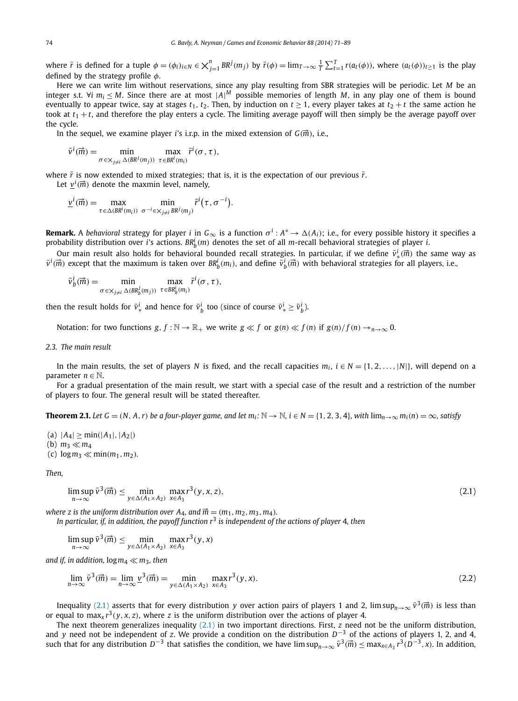<span id="page-3-0"></span>where  $\bar{r}$  is defined for a tuple  $\phi = (\phi_i)_{i \in N} \in \bigtimes_{j=1}^n BR^j(m_j)$  by  $\bar{r}(\phi) = \lim_{T \to \infty} \frac{1}{T} \sum_{t=1}^T r(a_t(\phi))$ , where  $(a_t(\phi))_{t \geq 1}$  is the play defined by the strategy profile *φ*.

Here we can write lim without reservations, since any play resulting from SBR strategies will be periodic. Let *M* be an integer s.t. ∀*i mi* ≤ *M*. Since there are at most |*A*| *<sup>M</sup>* possible memories of length *M*, in any play one of them is bound eventually to appear twice, say at stages  $t_1$ ,  $t_2$ . Then, by induction on  $t \ge 1$ , every player takes at  $t_2 + t$  the same action he took at  $t_1 + t$ , and therefore the play enters a cycle. The limiting average payoff will then simply be the average payoff over the cycle.

In the sequel, we examine player *i*'s i.r.p. in the mixed extension of  $G(\vec{m})$ , i.e.,

$$
\bar{v}^{i}(\vec{m}) = \min_{\sigma \in X_{j \neq i}} \max_{\Delta(BR^{j}(m_{j}))} \max_{\tau \in BR^{i}(m_{i})} \bar{r}^{i}(\sigma, \tau),
$$

where  $\bar{r}$  is now extended to mixed strategies; that is, it is the expectation of our previous  $\bar{r}$ .

Let  $\underline{v}^i(\vec{m})$  denote the maxmin level, namely,

$$
\underline{v}^i(\vec{m}) = \max_{\tau \in \Delta(BR^i(m_i))} \min_{\sigma^{-i} \in X_{j \neq i} BR^j(m_j)} \bar{r}^i(\tau, \sigma^{-i}).
$$

**Remark.** A *behavioral* strategy for player *i* in  $G_{\infty}$  is a function  $\sigma^{i}: A^{*} \to \Delta(A_{i})$ ; i.e., for every possible history it specifies a probability distribution over *i*'s actions.  $BR_b^i(m)$  denotes the set of all *m*-recall behavioral strategies of player *i*.

 $0$ ur main result also holds for behavioral bounded recall strategies. In particular, if we define  $\bar{v}^i_*(\vec{m})$  the same way as  $\bar{v}^i(\vec{m})$  except that the maximum is taken over  $BR_b^i(m_i)$ , and define  $\bar{v}_b^i(\vec{m})$  with behavioral strategies for all players, i.e.,

$$
\bar{v}_b^i(\vec{m}) = \min_{\sigma \in X_{j \neq i}} \max_{\Delta(\mathcal{B}R_b^j(m_j))} \max_{\tau \in \mathcal{B}R_b^i(m_i)} \bar{r}^i(\sigma, \tau),
$$

then the result holds for  $\bar{v}^i_*$  and hence for  $\bar{v}^i_b$  too (since of course  $\bar{v}^i_* \geq \bar{v}^i_b$ ).

Notation: for two functions  $g, f : \mathbb{N} \to \mathbb{R}_+$  we write  $g \ll f$  or  $g(n) \ll f(n)$  if  $g(n)/f(n) \to_{n \to \infty} 0$ .

#### *2.3. The main result*

In the main results, the set of players *N* is fixed, and the recall capacities  $m_i$ ,  $i \in N = \{1, 2, ..., |N|\}$ , will depend on a parameter  $n \in \mathbb{N}$ .

For a gradual presentation of the main result, we start with a special case of the result and a restriction of the number of players to four. The general result will be stated thereafter.

**Theorem 2.1.** Let  $G = (N, A, r)$  be a four-player game, and let  $m_i: \mathbb{N} \to \mathbb{N}$ ,  $i \in N = \{1, 2, 3, 4\}$ , with  $\lim_{n \to \infty} m_i(n) = \infty$ , satisfy

 $(A)$   $|A_4| \geq min(|A_1|, |A_2|)$ (b)  $m_3 \ll m_4$ 

(c)  $\log m_3 \ll \min(m_1, m_2)$ *.* 

*Then,*

$$
\limsup_{n \to \infty} \bar{v}^3(\vec{m}) \le \min_{y \in \Delta(A_1 \times A_2)} \max_{x \in A_3} r^3(y, x, z),\tag{2.1}
$$

*where z* is the *uniform* distribution over  $A_4$ , and  $\vec{m} = (m_1, m_2, m_3, m_4)$ *.* 

In particular, if, in addition, the payoff function  $r^3$  is independent of the actions of player 4, then

$$
\limsup_{n\to\infty}\bar{v}^3(\vec{m})\leq \min_{y\in\Delta(A_1\times A_2)}\max_{x\in A_3}r^3(y,x)
$$

and *if,* in addition,  $\log m_4 \ll m_3$ , then

$$
\lim_{n \to \infty} \bar{v}^3(\vec{m}) = \lim_{n \to \infty} \underline{v}^3(\vec{m}) = \min_{y \in \Delta(A_1 \times A_2)} \max_{x \in A_3} r^3(y, x).
$$
\n(2.2)

Inequality (2.1) asserts that for every distribution *y* over action pairs of players 1 and 2, limsup<sub>n→∞</sub>  $\bar{v}^3(\vec{m})$  is less than or equal to max<sub>*x*</sub>  $r^3$ ( $y$ ,  $x$ ,  $z$ ), where  $z$  is the uniform distribution over the actions of player 4.

The next theorem generalizes inequality (2.1) in two important directions. First, *z* need not be the uniform distribution, and *y* need not be independent of *z*. We provide a condition on the distribution *D*−<sup>3</sup> of the actions of players 1, 2, and 4, such that for any distribution  $D^{-3}$  that satisfies the condition, we have lim sup $_{n\to\infty}$   $\bar v^3(\vec m)\leq\max_{x\in A_3}r^3(D^{-3},x)$ . In addition,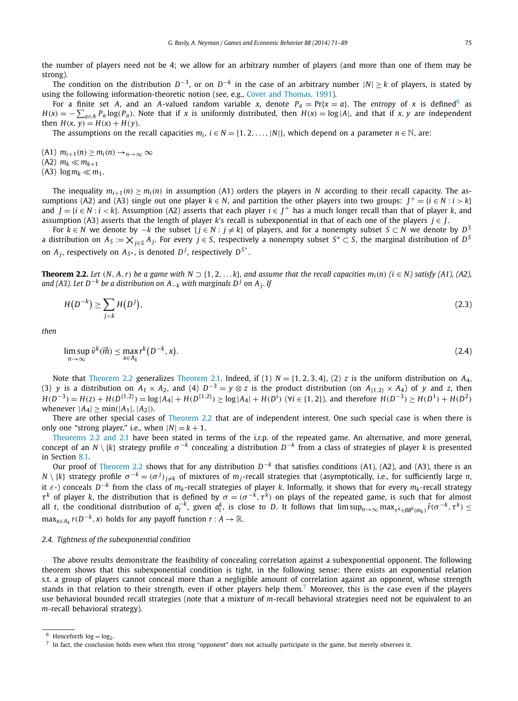<span id="page-4-0"></span>the number of players need not be 4; we allow for an arbitrary number of players (and more than one of them may be strong).

The condition on the distribution  $D^{-3}$ , or on  $D^{-k}$  in the case of an arbitrary number  $|N| \ge k$  of players, is stated by using the following information-theoretic notion (see, e.g., Cover and [Thomas,](#page-18-0) 1991).

For a finite set *A*, and an *A*-valued random variable *x*, denote  $P_a = Pr\{x = a\}$ . The *entropy* of *x* is defined<sup>6</sup> as  $H(x) = -\sum_{a \in A} P_a \log(P_a)$ . Note that if x is uniformly distributed, then  $H(x) = \log|A|$ , and that if x, y are independent then  $H(x, y) = H(x) + H(y)$ .

The assumptions on the recall capacities  $m_i$ ,  $i \in N = \{1, 2, ..., |N|\}$ , which depend on a parameter  $n \in \mathbb{N}$ , are:

- $(m_1 + n_2) \ge m_i(n) \to n \to \infty$
- $(A2)$   $m_k \ll m_{k+1}$
- $(A3)$   $log m_k \ll m_1$ .

The inequality  $m_{i+1}(n) > m_i(n)$  in assumption (A1) orders the players in N according to their recall capacity. The assumptions (A2) and (A3) single out one player  $k \in N$ , and partition the other players into two groups:  $I^+ = \{i \in N : i > k\}$ and *J* = {*i* ∈ *N* : *i < k*}. Assumption (A2) asserts that each player *i* ∈ *J*<sup>+</sup> has a much longer recall than that of player *k*, and assumption (A3) asserts that the length of player *k*'s recall is subexponential in that of each one of the players  $j \in J$ .

For  $k \in N$  we denote by  $-k$  the subset  $\{j \in N : j \neq k\}$  of players, and for a nonempty subset  $S \subset N$  we denote by  $D^S$ a distribution on  $A_S := \bigtimes_{i \in S} A_j$ . For every  $j \in S$ , respectively a nonempty subset  $S^* \subset S$ , the marginal distribution of  $D^S$ on  $A_j$ , respectively on  $A_{\mathcal{S}^*}$ , is denoted  $D^j$ , respectively  $D^{\mathcal{S}^*}$ .

**Theorem 2.2.** Let  $(N, A, r)$  be a game with  $N \supset \{1, 2, \ldots k\}$ , and assume that the recall capacities  $m_i(n)$  ( $i \in N$ ) satisfy (A1), (A2), *and* (*A3*). Let  $D^{-k}$  *be a distribution on*  $A_{-k}$  *with marginals*  $D^{j}$  *on*  $A_{j}$ *.* If

$$
H(D^{-k}) \ge \sum_{j < k} H(D^j),\tag{2.3}
$$

*then*

$$
\limsup_{n \to \infty} \bar{v}^k(\vec{m}) \le \max_{x \in A_k} r^k(D^{-k}, x). \tag{2.4}
$$

Note that Theorem 2.2 generalizes [Theorem 2.1.](#page-3-0) Indeed, if (1)  $N = \{1, 2, 3, 4\}$ , (2) *z* is the uniform distribution on  $A_4$ , (3) *y* is a distribution on  $A_1 \times A_2$ , and (4)  $D^{-3} = y \otimes z$  is the product distribution (on  $A_{\{1,2\}} \times A_4$ ) of *y* and *z*, then  $H(D^{-3}) = H(z) + H(D^{\{1,2\}}) = \log|A_4| + H(D^{\{1,2\}}) \ge \log|A_4| + H(D^i)$  ( $\forall i \in \{1,2\}$ ), and therefore  $H(D^{-3}) \ge H(D^1) + H(D^2)$ whenever  $|A_4| \ge \min(|A_1|, |A_2|)$ .

There are other special cases of Theorem 2.2 that are of independent interest. One such special case is when there is only one "strong player," i.e., when  $|N| = k + 1$ .

Theorems 2.2 and 2.1 have been stated in terms of the i.r.p. of the repeated game. An alternative, and more general, concept of an *N* \ {*k*} strategy profile  $\sigma^{-k}$  concealing a distribution  $D^{-k}$  from a class of strategies of player *k* is presented in Section [8.1.](#page-15-0)

Our proof of Theorem 2.2 shows that for any distribution *D*−*<sup>k</sup>* that satisfies conditions (A1), (A2), and (A3), there is an *N* \ {*k*} strategy profile  $σ^{-k} = (σ^j)_{j \neq k}$  of mixtures of  $m_j$ -recall strategies that (asymptotically, i.e., for sufficiently large *n*, it *ε*-) conceals *<sup>D</sup>*−*<sup>k</sup>* from the class of *mk*-recall strategies of player *<sup>k</sup>*. Informally, it shows that for every *mk*-recall strategy *τ*<sup>*k*</sup> of player *k*, the distribution that is defined by  $\sigma = (\sigma^{-k}, \tau^k)$  on plays of the repeated game, is such that for almost all t, the conditional distribution of  $a_t^{-k}$ , given  $a_t^k$ , is close to D. It follows that  $\limsup_{n\to\infty} \max_{\tau^k \in BR^k(m_k)} \bar{r}(\sigma^{-k}, \tau^k) \leq$  $max_{x \in A_k} r(D^{-k}, x)$  holds for any payoff function  $r : A \to \mathbb{R}$ .

#### *2.4. Tightness of the subexponential condition*

The above results demonstrate the feasibility of concealing correlation against a subexponential opponent. The following theorem shows that this subexponential condition is tight, in the following sense: there exists an exponential relation s.t. a group of players cannot conceal more than a negligible amount of correlation against an opponent, whose strength stands in that relation to their strength, even if other players help them.<sup>7</sup> Moreover, this is the case even if the players use behavioral bounded recall strategies (note that a mixture of *m*-recall behavioral strategies need not be equivalent to an *m*-recall behavioral strategy).

 $6$  Henceforth  $log = log_2$ .

 $7$  In fact, the conclusion holds even when this strong "opponent" does not actually participate in the game, but merely observes it.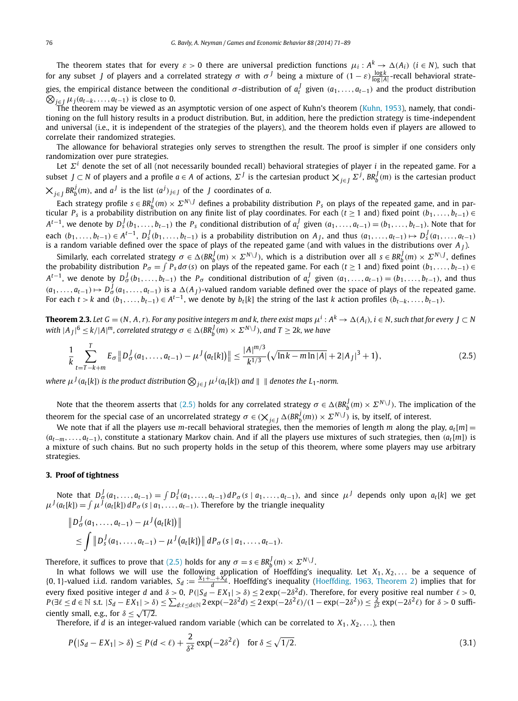<span id="page-5-0"></span>The theorem states that for every  $\varepsilon >0$  there are universal prediction functions  $\mu_i: A^k \to \Delta(A_i)$  ( $i \in N$ ), such that for any subset *J* of players and a correlated strategy  $\sigma$  with  $\sigma^J$  being a mixture of  $(1-\varepsilon)\frac{\log k}{\log|A|}$ -recall behavioral strategies, the empirical distance between the conditional  $\sigma$ -distribution of  $a_t^J$  given  $(a_1,\ldots,a_{t-1})$  and the product distribution  $\otimes$  *j*∈ *J µ*<sub>*j*</sub>( $a$ <sub>*t*</sub>– $k$ *,...,* $a$ *t*−1) is close to 0.

The theorem may be viewed as an asymptotic version of one aspect of Kuhn's theorem [\(Kuhn,](#page-18-0) 1953), namely, that conditioning on the full history results in a product distribution. But, in addition, here the prediction strategy is time-independent and universal (i.e., it is independent of the strategies of the players), and the theorem holds even if players are allowed to correlate their randomized strategies.

The allowance for behavioral strategies only serves to strengthen the result. The proof is simpler if one considers only randomization over pure strategies.

Let *Σ<sup>i</sup>* denote the set of all (not necessarily bounded recall) behavioral strategies of player *i* in the repeated game. For a subset  $J \subset N$  of players and a profile  $a \in A$  of actions,  $\Sigma^{J}$  is the cartesian product  $X_{j \in J} \Sigma^{j}$ ,  $BR_{b}^{J}(m)$  is the cartesian product  $\chi_{j \in J}$  *BR*<sup>*j*</sup><sub>*l*</sub>(*m*), and *a*<sup>*J*</sup> is the list  $(a<sup>j</sup>)_{j \in J}$  of the *J* coordinates of *a*.

Each strategy profile  $s \in BR_b^J(m) \times \Sigma^{N \setminus J}$  defines a probability distribution  $P_s$  on plays of the repeated game, and in particular  $P_s$  is a probability distribution on any finite list of play coordinates. For each ( $t \ge 1$  and) fixed point  $(b_1, \ldots, b_{t-1}) \in$  $A^{t-1}$ , we denote by  $D_s^J(b_1,\ldots,b_{t-1})$  the  $P_s$  conditional distribution of  $a_t^J$  given  $(a_1,\ldots,a_{t-1})=(b_1,\ldots,b_{t-1})$ . Note that for each  $(b_1,\ldots,b_{t-1})\in A^{t-1}$ ,  $D_s^J(b_1,\ldots,b_{t-1})$  is a probability distribution on  $A_J$ , and thus  $(a_1,\ldots,a_{t-1})\mapsto D_s^J(a_1,\ldots,a_{t-1})$ is a random variable defined over the space of plays of the repeated game (and with values in the distributions over *A <sup>J</sup>*).

Similarly, each correlated strategy  $\sigma\in \Delta(BR_b^J(m)\times \Sigma^{N\setminus J})$ , which is a distribution over all  $s\in BR_b^J(m)\times \Sigma^{N\setminus J}$ , defines the probability distribution  $P_{\sigma} = \int P_s d\sigma(s)$  on plays of the repeated game. For each (*t* ≥ 1 and) fixed point  $(b_1, \ldots, b_{t-1}) \in$  $A^{t-1}$ , we denote by  $D^J_\sigma(b_1,\ldots,b_{t-1})$  the  $P_\sigma$  conditional distribution of  $a^J_t$  given  $(a_1,\ldots,a_{t-1})=(b_1,\ldots,b_{t-1})$ , and thus  $(a_1,\ldots,a_{t-1})\mapsto D^f_\sigma(a_1,\ldots,a_{t-1})$  is a  $\Delta(A_J)$ -valued random variable defined over the space of plays of the repeated game. For each  $t > k$  and  $(b_1, ..., b_{t-1}) \in A^{t-1}$ , we denote by  $b_t[k]$  the string of the last k action profiles  $(b_{t-k}, ..., b_{t-1})$ .

**Theorem 2.3.** Let  $G = (N, A, r)$ . For any positive integers m and k, there exist maps  $\mu^i : A^k \to \Delta(A_i)$ ,  $i \in N$ , such that for every  $J \subset N$ with  $|A_J|^6\leq k/|A|^m$ , correlated strategy  $\sigma\in\Delta(BR_b^J(m)\times \Sigma^{N\setminus J}),$  and  $T\geq 2k$ , we have

$$
\frac{1}{k} \sum_{t=T-k+m}^{T} E_{\sigma} \| D_{\sigma}^{J}(a_1, \dots, a_{t-1}) - \mu^{J}(a_t[k]) \| \le \frac{|A|^{m/3}}{k^{1/3}} (\sqrt{\ln k - m \ln |A|} + 2|A_J|^3 + 1), \tag{2.5}
$$

where  $\mu^J(a_t[k])$  is the product distribution  $\otimes_{j\in J}\mu^j(a_t[k])$  and  $\|\;\|$  denotes the  $L_1$ -norm.

Note that the theorem asserts that (2.5) holds for any correlated strategy  $\sigma\in\Delta(BR_b^J(m)\times \Sigma^{N\setminus J}).$  The implication of the theorem for the special case of an uncorrelated strategy  $\sigma \in (X_{j\in J}\Delta(BR_b^j(m))\times \Sigma^{N\setminus J})$  is, by itself, of interest.

We note that if all the players use *m*-recall behavioral strategies, then the memories of length *m* along the play,  $a_t[m] =$ *(at*−*m,...,at*−1*)*, constitute a stationary Markov chain. And if all the players use mixtures of such strategies, then *(at* [*m*]*)* is a mixture of such chains. But no such property holds in the setup of this theorem, where some players may use arbitrary strategies.

#### **3. Proof of tightness**

Note that  $D^J_\sigma(a_1,\ldots,a_{t-1})=\int D^J_s(a_1,\ldots,a_{t-1})dP_\sigma(s\mid a_1,\ldots,a_{t-1})$ , and since  $\mu^J$  depends only upon  $a_t[k]$  we get  $\mu^{J}(a_t[k]) = \int \mu^{J}(a_t[k]) dP_{\sigma}(s | a_1, \ldots, a_{t-1})$ . Therefore by the triangle inequality

$$
\|D_{\sigma}^{J}(a_1,\ldots,a_{t-1})-\mu^{J}(a_t[k])\|
$$
  
\$\leq \int \|D\_{s}^{J}(a\_1,\ldots,a\_{t-1})-\mu^{J}(a\_t[k])\| dP\_{\sigma}(s \mid a\_1,\ldots,a\_{t-1}).

Therefore, it suffices to prove that (2.5) holds for any  $\sigma = s \in BR_b^{\{I\}}(m) \times \Sigma^{N \setminus J}$ .

In what follows we will use the following application of Hoeffding's inequality. Let  $X_1, X_2,...$  be a sequence of  $\{0, 1\}$ -valued i.i.d. random variables,  $S_d := \frac{X_1 + ... + X_d}{d}$ . Hoeffding's inequality [\(Hoeffding,](#page-18-0) 1963, The every fixed positive integer  $d$  and  $\delta > 0$ ,  $P(|S_d - EX_1| > \delta) \leq 2\exp(-2\delta^2d)$ . Therefore, for every positive real number  $\ell > 0$ ,  $P(\exists \ell \le d \in \mathbb{N} \text{ s.t. } |S_d - EX_1| > \delta) \le \sum_{d:\ell \le d \in \mathbb{N}} 2 \exp(-2\delta^2 d) \le 2 \exp(-2\delta^2 \ell)/(1 - \exp(-2\delta^2)) \le \frac{2}{\delta^2} \exp(-2\delta^2 \ell) \text{ for } \delta > 0 \text{ suffi-1}$ ciently small, e.g., for  $\delta \leq \sqrt{1/2}$ .

Therefore, if *d* is an integer-valued random variable (which can be correlated to  $X_1, X_2, \ldots$ ), then

$$
P\left(|S_d - EX_1| > \delta\right) \le P(d < \ell) + \frac{2}{\delta^2} \exp\left(-2\delta^2 \ell\right) \quad \text{for } \delta \le \sqrt{1/2}.\tag{3.1}
$$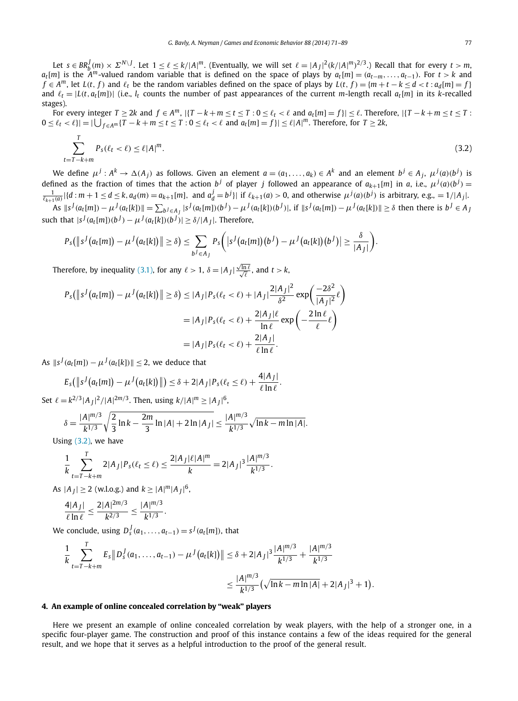<span id="page-6-0"></span>Let  $s\in BR_b^{\int}(m)\times \Sigma^{N\setminus J}$ . Let  $1\leq \ell\leq k/|A|^m$ . (Eventually, we will set  $\ell=|A_J|^2(k/|A|^m)^{2/3}$ .) Recall that for every  $t>m$ , *at*<sub>[</sub>*m*] is the  $\tilde{A}^m$ -valued random variable that is defined on the space of plays by  $a_t[m] = (a_{t-m}, \ldots, a_{t-1})$ . For  $t > k$  and  $f \in A^m$ , let  $L(t, f)$  and  $\ell_t$  be the random variables defined on the space of plays by  $L(t, f) = \{m + t - k < d < t : a_d[m] = f\}$ and  $\ell_t = |L(t, a_t[m])|$  (i.e.,  $l_t$  counts the number of past appearances of the current *m*-length recall  $a_t[m]$  in its *k*-recalled stages).

For every integer  $T \ge 2k$  and  $f \in A^m$ ,  $|\{T - k + m \le t \le T : 0 \le \ell_t < \ell \}$  and  $a_t[m] = f\}| \le \ell$ . Therefore,  $|\{T - k + m \le t \le T : 0 \le \ell_t < \ell \}$  $0 \leq \ell_t < \ell$ }  $| = |\bigcup_{f \in A^m} \{T - k + m \leq t \leq T : 0 \leq \ell_t < \ell \text{ and } a_t[m] = f\}| \leq \ell |A|^m$ . Therefore, for  $T \geq 2k$ ,

$$
\sum_{t=T-k+m}^{T} P_s(\ell_t < \ell) \le \ell |A|^m.
$$
\n(3.2)

We define  $\mu^j: A^k \to \Delta(A_j)$  as follows. Given an element  $a=(a_1,\ldots,a_k)\in A^k$  and an element  $b^j\in A_j$ ,  $\mu^j(a)(b^j)$  is defined as the fraction of times that the action  $b^j$  of player  $j$  followed an appearance of  $a_{k+1}[m]$  in  $a$ , i.e.,  $\mu^j(a)(b^j)=0$  $\frac{1}{\ell_{k+1}(a)}$   $|\{d : m+1 \leq d \leq k, a_d(m) = a_{k+1}[m]\}$ , and  $a_d^j = b^j\}|$  if  $\ell_{k+1}(a) > 0$ , and otherwise  $\mu^j(a)(b^j)$  is arbitrary, e.g.,  $= 1/|A_j|$ . As  $\|s^J(a_t[m]) - \mu^J(a_t[k])\| = \sum_{b^J \in A_J} |s^J(a_t[m])(b^J) - \mu^J(a_t[k])(b^J)|$ , if  $\|s^J(a_t[m]) - \mu^J(a_t[k])\| \ge \delta$  then there is  $b^J \in A_J$  $\sup_{t\in\mathcal{T}}\sup_{t\in\mathcal{T}}\sup_{t\in\mathcal{T}}\sup_{t\in\mathcal{T}}\sup_{t\in\mathcal{T}}\sup_{t\in\mathcal{T}}\sup_{t\in\mathcal{T}}\sup_{t\in\mathcal{T}}\sup_{t\in\mathcal{T}}\sup_{t\in\mathcal{T}}\sup_{t\in\mathcal{T}}\sup_{t\in\mathcal{T}}\sup_{t\in\mathcal{T}}\sup_{t\in\mathcal{T}}\sup_{t\in\mathcal{T}}\sup_{t\in\mathcal{T}}\sup_{t\in\mathcal{T}}\sup_{t\in\mathcal{T}}\sup_{t\in\mathcal{T}}\sup_{t\in\mathcal{T}}$ 

$$
P_{s}\big(\big\|s^J\big(a_t[m]\big)-\mu^J\big(a_t[k]\big)\big\|\geq \delta\big)\leq \sum_{b^J\in A_J}P_{s}\bigg(\big|s^J\big(a_t[m]\big)\big(b^J\big)-\mu^J\big(a_t[k]\big)\big(b^J\big)\big|\geq \frac{\delta}{|A_J|}\bigg).
$$

Therefore, by inequality [\(3.1\),](#page-5-0) for any  $\ell > 1$ ,  $\delta = |A_J| \frac{\sqrt{3}}{2}$  $\frac{\sqrt{\ln \ell}}{\sqrt{\ell}}$ , and  $t > k$ ,

$$
P_s(\|s^J(a_t[m]) - \mu^J(a_t[k])\| \ge \delta) \le |A_J| P_s(\ell_t < \ell) + |A_J| \frac{2|A_J|^2}{\delta^2} \exp\left(\frac{-2\delta^2}{|A_J|^2} \ell\right)
$$
  
=  $|A_J| P_s(\ell_t < \ell) + \frac{2|A_J|\ell}{\ln \ell} \exp\left(-\frac{2\ln \ell}{\ell} \ell\right)$   
=  $|A_J| P_s(\ell_t < \ell) + \frac{2|A_J|}{\ell \ln \ell}.$ 

 $\mathsf{As} \ \| \mathsf{s}^{\mathsf{J}}(a_{t}[m]) - \mu^{\mathsf{J}}(a_{t}[k]) \| \leq 2$ , we deduce that

$$
E_{S}(\Vert s^{J}(a_{t}[m]) - \mu^{J}(a_{t}[k]) \Vert) \leq \delta + 2|A_{J}|P_{S}(\ell_{t} \leq \ell) + \frac{4|A_{J}|}{\ell \ln \ell}.
$$

Set  $\ell = k^{2/3} |A_J|^2 / |A|^{2m/3}$ . Then, using  $k / |A|^m \ge |A_J|^6$ ,

$$
\delta = \frac{|A|^{m/3}}{k^{1/3}} \sqrt{\frac{2}{3} \ln k - \frac{2m}{3} \ln |A| + 2 \ln |A_J|} \le \frac{|A|^{m/3}}{k^{1/3}} \sqrt{\ln k - m \ln |A|}.
$$

Using (3.2), we have

$$
\frac{1}{k}\sum_{t=T-k+m}^{T}2|A_{J}|P_{s}(\ell_{t}\leq \ell)\leq \frac{2|A_{J}|\ell|A|^{m}}{k}=2|A_{J}|^{3}\frac{|A|^{m/3}}{k^{1/3}}.
$$

As  $|A_J| \ge 2$  (w.l.o.g.) and  $k \ge |A|^m |A_J|^6$ ,

$$
\frac{4|A_J|}{\ell \ln \ell} \le \frac{2|A|^{2m/3}}{k^{2/3}} \le \frac{|A|^{m/3}}{k^{1/3}}.
$$

We conclude, using  $D_s^f(a_1,\ldots,a_{t-1})=s^f(a_t[m])$ , that

$$
\frac{1}{k} \sum_{t=T-k+m}^{T} E_s \| D_s^J(a_1, \dots, a_{t-1}) - \mu^J(a_t[k]) \| \leq \delta + 2|A_J|^3 \frac{|A|^{m/3}}{k^{1/3}} + \frac{|A|^{m/3}}{k^{1/3}}
$$

$$
\leq \frac{|A|^{m/3}}{k^{1/3}} (\sqrt{\ln k - m \ln |A|} + 2|A_J|^3 + 1).
$$

#### **4. An example of online concealed correlation by "weak" players**

Here we present an example of online concealed correlation by weak players, with the help of a stronger one, in a specific four-player game. The construction and proof of this instance contains a few of the ideas required for the general result, and we hope that it serves as a helpful introduction to the proof of the general result.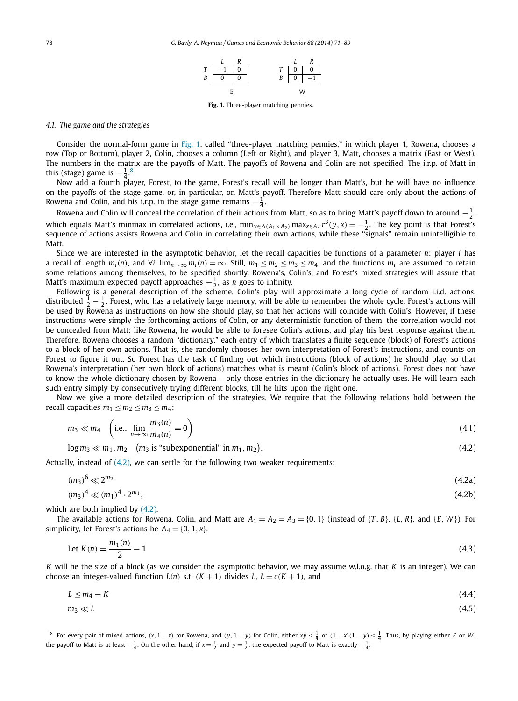

**Fig. 1.** Three-player matching pennies.

#### <span id="page-7-0"></span>*4.1. The game and the strategies*

Consider the normal-form game in Fig. 1, called "three-player matching pennies," in which player 1, Rowena, chooses a row (Top or Bottom), player 2, Colin, chooses a column (Left or Right), and player 3, Matt, chooses a matrix (East or West). The numbers in the matrix are the payoffs of Matt. The payoffs of Rowena and Colin are not specified. The i.r.p. of Matt in this (stage) game is  $-\frac{1}{4}$ .<sup>8</sup>

Now add a fourth player, Forest, to the game. Forest's recall will be longer than Matt's, but he will have no influence on the payoffs of the stage game, or, in particular, on Matt's payoff. Therefore Matt should care only about the actions of Rowena and Colin, and his i.r.p. in the stage game remains  $-\frac{1}{4}$ .

Rowena and Colin will conceal the correlation of their actions from Matt, so as to bring Matt's payoff down to around  $-\frac{1}{2}$ , which equals Matt's minmax in correlated actions, i.e.,  $\min_{y \in \Delta(A_1 \times A_2)} \max_{x \in A_3} r^3(y, x) = -\frac{1}{2}$ . The key point is that Forest's sequence of actions assists Rowena and Colin in correlating their own actions, while these "signals" remain unintelligible to Matt.

Since we are interested in the asymptotic behavior, let the recall capacities be functions of a parameter *n*: player *i* has a recall of length  $m_i(n)$ , and ∀*i*  $\lim_{n\to\infty} m_i(n) = \infty$ . Still,  $m_1 \leq m_2 \leq m_3 \leq m_4$ , and the functions  $m_i$  are assumed to retain some relations among themselves, to be specified shortly. Rowena's, Colin's, and Forest's mixed strategies will assure that Matt's maximum expected payoff approaches  $-\frac{1}{2}$ , as *n* goes to infinity.

Following is a general description of the scheme. Colin's play will approximate a long cycle of random i.i.d. actions, distributed  $\frac{1}{2} - \frac{1}{2}$ . Forest, who has a relatively large memory, will be able to remember the whole cycle. Forest's actions will be used by Rowena as instructions on how she should play, so that her actions will coincide with Colin's. However, if these instructions were simply the forthcoming actions of Colin, or any deterministic function of them, the correlation would not be concealed from Matt: like Rowena, he would be able to foresee Colin's actions, and play his best response against them. Therefore, Rowena chooses a random "dictionary," each entry of which translates a finite sequence (block) of Forest's actions to a block of her own actions. That is, she randomly chooses her own interpretation of Forest's instructions, and counts on Forest to figure it out. So Forest has the task of finding out which instructions (block of actions) he should play, so that Rowena's interpretation (her own block of actions) matches what is meant (Colin's block of actions). Forest does not have to know the whole dictionary chosen by Rowena – only those entries in the dictionary he actually uses. He will learn each such entry simply by consecutively trying different blocks, till he hits upon the right one.

Now we give a more detailed description of the strategies. We require that the following relations hold between the recall capacities  $m_1 \le m_2 \le m_3 \le m_4$ :

$$
m_3 \ll m_4 \quad \left(\text{i.e., } \lim_{n \to \infty} \frac{m_3(n)}{m_4(n)} = 0\right) \tag{4.1}
$$

 $\log m_3 \ll m_1, m_2 \quad (m_3 \text{ is "subexponential" in } m_1, m_2)$ *.* (4.2)

Actually, instead of  $(4.2)$ , we can settle for the following two weaker requirements:

$$
(m_3)^6 \ll 2^{m_2} \tag{4.2a}
$$

$$
(m_3)^4 \ll (m_1)^4 \cdot 2^{m_1},\tag{4.2b}
$$

which are both implied by (4.2).

The available actions for Rowena, Colin, and Matt are  $A_1 = A_2 = A_3 = \{0, 1\}$  (instead of  $\{T, B\}$ ,  $\{L, R\}$ , and  $\{E, W\}$ ). For simplicity, let Forest's actions be  $A_4 = \{0, 1, x\}.$ 

Let 
$$
K(n) = \frac{m_1(n)}{2} - 1
$$
 (4.3)

*K* will be the size of a block (as we consider the asymptotic behavior, we may assume w.l.o.g. that *K* is an integer). We can choose an integer-valued function  $L(n)$  s.t.  $(K + 1)$  divides  $L, L = c(K + 1)$ , and

$$
L \leq m_4 - K \tag{4.4}
$$

$$
m_3 \ll L \tag{4.5}
$$

<sup>&</sup>lt;sup>8</sup> For every pair of mixed actions,  $(x, 1-x)$  for Rowena, and  $(y, 1-y)$  for Colin, either  $xy \leq \frac{1}{4}$  or  $(1-x)(1-y) \leq \frac{1}{4}$ . Thus, by playing either E or W the payoff to Matt is at least  $-\frac{1}{4}$ . On the other hand, if  $x=\frac{1}{2}$  and  $y=\frac{1}{2}$ , the expected payoff to Matt is exactly  $-\frac{1}{4}$ .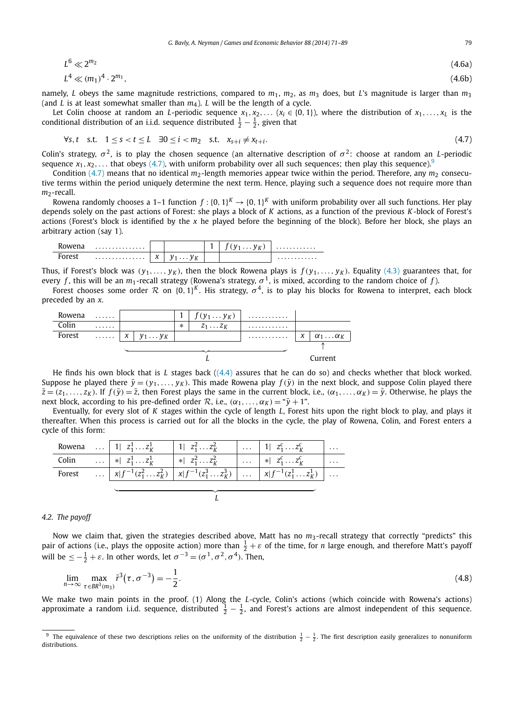<span id="page-8-0"></span>
$$
L^{6} \ll 2^{m_2}
$$
  
\n
$$
L^{4} \ll (m_1)^4 \cdot 2^{m_1},
$$
\n(4.6a)

namely, *L* obeys the same magnitude restrictions, compared to  $m_1$ ,  $m_2$ , as  $m_3$  does, but *L*'s magnitude is larger than  $m_3$ (and *L* is at least somewhat smaller than *m*4). *L* will be the length of a cycle.

Let Colin choose at random an *L*-periodic sequence  $x_1, x_2, \ldots$  ( $x_i \in \{0, 1\}$ ), where the distribution of  $x_1, \ldots, x_L$  is the conditional distribution of an i.i.d. sequence distributed  $\frac{1}{2}-\frac{1}{2}$ , given that

$$
\forall s, t \quad s.t. \quad 1 \le s < t \le L \quad \exists 0 \le i < m_2 \quad s.t. \quad x_{s+i} \neq x_{t+i}. \tag{4.7}
$$

Colin's strategy,  $\sigma^2$ , is to play the chosen sequence (an alternative description of  $\sigma^2$ : choose at random an *L*-periodic sequence  $x_1, x_2, \ldots$  that obeys (4.7), with uniform probability over all such sequences; then play this sequence).<sup>9</sup>

Condition  $(4.7)$  means that no identical  $m<sub>2</sub>$ -length memories appear twice within the period. Therefore, any  $m<sub>2</sub>$  consecutive terms within the period uniquely determine the next term. Hence, playing such a sequence does not require more than *m*2-recall.

Rowena randomly chooses a 1–1 function  $f: {0, 1}^K \to {0, 1}^K$  with uniform probability over all such functions. Her play depends solely on the past actions of Forest: she plays a block of *K* actions, as a function of the previous *K*-block of Forest's actions (Forest's block is identified by the *x* he played before the beginning of the block). Before her block, she plays an arbitrary action (say 1).

| Rowena | . |                |              | $\frac{1}{\nu}$<br>. | . |
|--------|---|----------------|--------------|----------------------|---|
|        | . | $\overline{ }$ | . <i>v</i> k |                      | . |

Thus, if Forest's block was  $(y_1, \ldots, y_K)$ , then the block Rowena plays is  $f(y_1, \ldots, y_K)$ . Equality [\(4.3\)](#page-7-0) guarantees that, for every *f*, this will be an  $m_1$ -recall strategy (Rowena's strategy,  $\sigma^1$ , is mixed, according to the random choice of *f*).

Forest chooses some order  $R$  on  $\{0,1\}^K$ . His strategy,  $\sigma^4$ , is to play his blocks for Rowena to interpret, each block preceded by an *x*.



He finds his own block that is *L* stages back [\(\(4.4\)](#page-7-0) assures that he can do so) and checks whether that block worked. Suppose he played there  $\bar{y} = (y_1, \ldots, y_K)$ . This made Rowena play  $f(\bar{y})$  in the next block, and suppose Colin played there  $\overline{z} = (z_1, \ldots, z_K)$ . If  $f(\overline{y}) = \overline{z}$ , then Forest plays the same in the current block, i.e.,  $(\alpha_1, \ldots, \alpha_K) = \overline{y}$ . Otherwise, he plays the next block, according to his pre-defined order  $\mathcal{R}$ , i.e.,  $(\alpha_1, \ldots, \alpha_K) = \tilde{y} + 1$ ".

Eventually, for every slot of *K* stages within the cycle of length *L*, Forest hits upon the right block to play, and plays it thereafter. When this process is carried out for all the blocks in the cycle, the play of Rowena, Colin, and Forest enters a cycle of this form:

|        | Rowena    1  $z_1^1 \ldots z_k^1$   1  $z_1^2 \ldots z_k^2$                                                                                                                            |  |  | $\vert  \vert 1 \vert z_1^c  z_K^c$                                         |  |  |  |  |
|--------|----------------------------------------------------------------------------------------------------------------------------------------------------------------------------------------|--|--|-----------------------------------------------------------------------------|--|--|--|--|
|        | Colin $* \begin{array}{ccc}   & 1 \\   & 2^1 \ldots z_K^1 \end{array}$ $* \begin{array}{ccc}   & 2^2 \ldots z_K^2 \end{array}$ $* \begin{array}{ccc}   & 2^c \ldots z_K^c \end{array}$ |  |  |                                                                             |  |  |  |  |
| Forest |                                                                                                                                                                                        |  |  | $x f^{-1}(z_1^2z_K^2)$   $x f^{-1}(z_1^3z_K^3)$      $x f^{-1}(z_1^1z_K^1)$ |  |  |  |  |
|        |                                                                                                                                                                                        |  |  |                                                                             |  |  |  |  |
|        |                                                                                                                                                                                        |  |  |                                                                             |  |  |  |  |

#### *4.2. The payoff*

 $\overline{\phantom{a}}$ 

Now we claim that, given the strategies described above, Matt has no  $m_3$ -recall strategy that correctly "predicts" this pair of actions (i.e., plays the opposite action) more than  $\frac{1}{2}+\varepsilon$  of the time, for *n* large enough, and therefore Matt's payoff will be  $\leq -\frac{1}{2} + \varepsilon$ . In other words, let  $\sigma^{-3} = (\sigma^1, \sigma^2, \sigma^4)$ . Then,

$$
\lim_{n \to \infty} \max_{\tau \in BR^3(m_3)} \bar{r}^3(\tau, \sigma^{-3}) = -\frac{1}{2}.
$$
\n(4.8)

We make two main points in the proof. (1) Along the *L*-cycle, Colin's actions (which coincide with Rowena's actions) approximate a random i.i.d. sequence, distributed  $\frac{1}{2}-\frac{1}{2}$ , and Forest's actions are almost independent of this sequence.

<sup>&</sup>lt;sup>9</sup> The equivalence of these two descriptions relies on the uniformity of the distribution  $\frac{1}{2} - \frac{1}{2}$ . The first description easily generalizes to nonuniform distributions.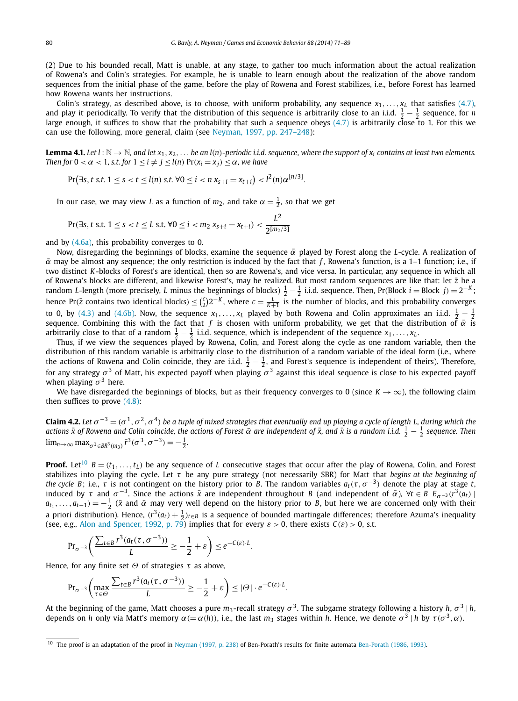<span id="page-9-0"></span>(2) Due to his bounded recall, Matt is unable, at any stage, to gather too much information about the actual realization of Rowena's and Colin's strategies. For example, he is unable to learn enough about the realization of the above random sequences from the initial phase of the game, before the play of Rowena and Forest stabilizes, i.e., before Forest has learned how Rowena wants her instructions.

Colin's strategy, as described above, is to choose, with uniform probability, any sequence  $x_1, \ldots, x_L$  that satisfies [\(4.7\),](#page-8-0) and play it periodically. To verify that the distribution of this sequence is arbitrarily close to an i.i.d.  $\frac{1}{2} - \frac{1}{2}$  sequence, for *n* large enough, it suffices to show that the probability that such a sequence obeys  $(4.7)$  is arbitrarily close to 1. For this we can use the following, more general, claim (see Neyman, 1997, pp. [247–248\)](#page-18-0):

**Lemma 4.1.** Let  $l : \mathbb{N} \to \mathbb{N}$ , and let  $x_1, x_2, \ldots$  be an  $l(n)$ -periodic i.i.d. sequence, where the support of  $x_i$  contains at least two elements. Then for  $0 < \alpha < 1$ , s.t. for  $1 \le i \ne j \le l(n)$   $Pr(x_i = x_j) \le \alpha$ , we have

$$
Pr(\exists s, t \text{ s.t. } 1 \leq s < t \leq l(n) \text{ s.t. } \forall 0 \leq i < n \; x_{s+i} = x_{t+i} \; < \; l^2(n) \alpha^{[n/3]}.
$$

In our case, we may view *L* as a function of  $m_2$ , and take  $\alpha = \frac{1}{2}$ , so that we get

$$
\Pr(\exists s, t \text{ s.t. } 1 \le s < t \le L \text{ s.t. } \forall 0 \le i < m_2 \ x_{s+i} = x_{t+i}) < \frac{L^2}{2^{\lfloor m_2/3 \rfloor}}
$$

and by [\(4.6a\),](#page-8-0) this probability converges to 0.

Now, disregarding the beginnings of blocks, examine the sequence *α*¯ played by Forest along the *L*-cycle. A realization of  $\bar{\alpha}$  may be almost any sequence; the only restriction is induced by the fact that *f*, Rowena's function, is a 1–1 function; i.e., if two distinct *K*-blocks of Forest's are identical, then so are Rowena's, and vice versa. In particular, any sequence in which all of Rowena's blocks are different, and likewise Forest's, may be realized. But most random sequences are like that: let *z*¯ be a random *L*-length (more precisely, *L* minus the beginnings of blocks)  $\frac{1}{2} - \frac{1}{2}$  i.i.d. sequence. Then, Pr(Block *i* = Block *j*) = 2<sup>-*K*</sup>; hence Pr( $\bar{z}$  contains two identical blocks)  $\leq \binom{c}{2} 2^{-K}$ , where  $c = \frac{L}{K+1}$  is the number of blocks, and this probability converges to 0, by [\(4.3\)](#page-7-0) and [\(4.6b\).](#page-8-0) Now, the sequence  $x_1, \ldots, x_L$  played by both Rowena and Colin approximates an i.i.d.  $\frac{1}{2} - \frac{1}{2}$ sequence. Combining this with the fact that *f* is chosen with uniform probability, we get that the distribution of  $\bar{\alpha}$  is arbitrarily close to that of a random  $\frac{1}{2} - \frac{1}{2}$  i.i.d. sequence, which is independent of the sequence  $x_1, \ldots, x_L$ .

Thus, if we view the sequences played by Rowena, Colin, and Forest along the cycle as one random variable, then the distribution of this random variable is arbitrarily close to the distribution of a random variable of the ideal form (i.e., where the actions of Rowena and Colin coincide, they are i.i.d.  $\frac{1}{2}-\frac{1}{2}$ , and Forest's sequence is independent of theirs). Therefore, for any strategy *σ* <sup>3</sup> of Matt, his expected payoff when playing *σ* <sup>3</sup> against this ideal sequence is close to his expected payoff when playing  $\sigma^3$  here.

We have disregarded the beginnings of blocks, but as their frequency converges to 0 (since  $K \to \infty$ ), the following claim then suffices to prove [\(4.8\):](#page-8-0)

**Claim 4.2.** Let  $\sigma^{-3} = (\sigma^1, \sigma^2, \sigma^4)$  be a tuple of mixed strategies that eventually end up playing a cycle of length L, during which the actions  $\bar{x}$  of Rowena and Colin coincide, the actions of Forest  $\bar{\alpha}$  are independent of  $\bar{x}$ , and  $\bar{x}$  is a random i.i.d.  $\frac{1}{2}-\frac{1}{2}$  sequence. Then  $\lim_{n\to\infty} \max_{\sigma^3 \in BR^3(m_3)} \bar{r}^3(\sigma^3, \sigma^{-3}) = -\frac{1}{2}.$ 

**Proof.** Let<sup>10</sup>  $B = (t_1, \ldots, t_L)$  be any sequence of *L* consecutive stages that occur after the play of Rowena, Colin, and Forest stabilizes into playing the cycle. Let *τ* be any pure strategy (not necessarily SBR) for Matt that *begins at the beginning of the cycle B*; i.e.,  $\tau$  is not contingent on the history prior to *B*. The random variables  $a_t(\tau, \sigma^{-3})$  denote the play at stage *t*, induced by *τ* and  $\sigma^{-3}$ . Since the actions  $\bar{x}$  are independent throughout *B* (and independent of  $\bar{\alpha}$ ),  $\forall t \in B$   $E_{\sigma^{-3}}(r^3(a_t))$  $a_{t_1},\ldots,a_{t-1})=-\frac{1}{2}$  ( $\bar{x}$  and  $\bar{\alpha}$  may very well depend on the history prior to *B*, but here we are concerned only with their a priori distribution). Hence,  $(r^3(a_t) + \frac{1}{2})_{t \in B}$  is a sequence of bounded martingale differences; therefore Azuma's inequality (see, e.g., Alon and [Spencer,](#page-18-0) 1992, p. 79) implies that for every  $\varepsilon > 0$ , there exists  $C(\varepsilon) > 0$ , s.t.

$$
\mathrm{Pr}_{\sigma^{-3}}\bigg(\frac{\sum_{t\in B} r^3 (a_t(\tau,\sigma^{-3}))}{L}\geq -\frac{1}{2}+\varepsilon\bigg)\leq e^{-C(\varepsilon)\cdot L}.
$$

Hence, for any finite set *Θ* of strategies *τ* as above,

$$
\mathrm{Pr}_{\sigma^{-3}}\bigg(\max_{\tau \in \Theta} \frac{\sum_{t \in B} r^3 (a_t(\tau, \sigma^{-3}))}{L} \geq -\frac{1}{2} + \varepsilon\bigg) \leq |\Theta| \cdot e^{-C(\varepsilon) \cdot L}.
$$

At the beginning of the game, Matt chooses a pure  $m_3$ -recall strategy  $\sigma^3$ . The subgame strategy following a history *h*,  $\sigma^3$  | *h*, depends on *h* only via Matt's memory  $α(= α(h))$ , i.e., the last  $m_3$  stages within *h*. Hence, we denote  $σ^3 | h$  by  $τ(σ^3, α)$ .

<sup>10</sup> The proof is an adaptation of the proof in [Neyman](#page-18-0) (1997, p. 238) of Ben-Porath's results for finite automata Ben-Porath [\(1986, 1993\).](#page-18-0)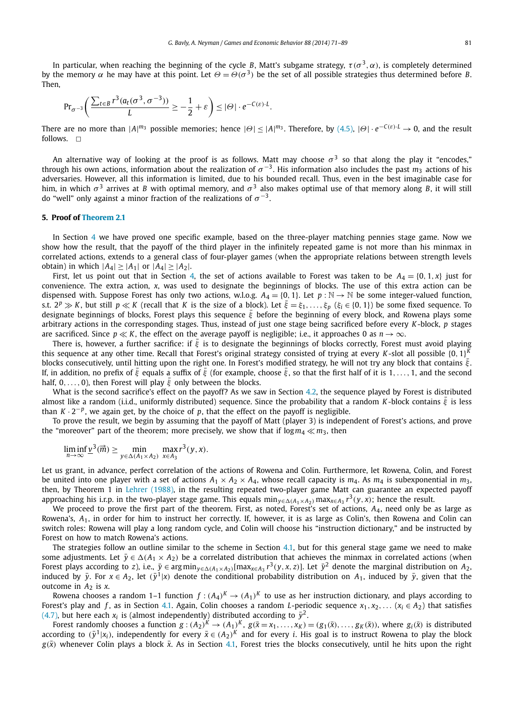<span id="page-10-0"></span>In particular, when reaching the beginning of the cycle *B*, Matt's subgame strategy,  $\tau(\sigma^3, \alpha)$ , is completely determined by the memory *α* he may have at this point. Let  $Θ = Θ(σ^3)$  be the set of all possible strategies thus determined before *B*. Then,

$$
\Pr_{\sigma^{-3}}\bigg(\frac{\sum_{t\in B} r^3(a_t(\sigma^3, \sigma^{-3}))}{L} \geq -\frac{1}{2} + \varepsilon\bigg) \leq |\Theta| \cdot e^{-C(\varepsilon) \cdot L}.
$$

There are no more than  $|A|^{m_3}$  possible memories; hence  $|\Theta| \leq |A|^{m_3}$ . Therefore, by  $(4.5)$ ,  $|\Theta| \cdot e^{-C(\varepsilon) \cdot L} \to 0$ , and the result follows.  $\Box$ 

An alternative way of looking at the proof is as follows. Matt may choose  $\sigma^3$  so that along the play it "encodes." through his own actions, information about the realization of *σ* <sup>−</sup>3. His information also includes the past *<sup>m</sup>*<sup>3</sup> actions of his adversaries. However, all this information is limited, due to his bounded recall. Thus, even in the best imaginable case for him, in which  $\sigma^3$  arrives at *B* with optimal memory, and  $\sigma^3$  also makes optimal use of that memory along *B*, it will still do "well" only against a minor fraction of the realizations of  $\sigma^{-3}$ .

#### **5. Proof of [Theorem](#page-3-0) 2.1**

In Section [4](#page-6-0) we have proved one specific example, based on the three-player matching pennies stage game. Now we show how the result, that the payoff of the third player in the infinitely repeated game is not more than his minmax in correlated actions, extends to a general class of four-player games (when the appropriate relations between strength levels obtain) in which  $|A_4| \geq |A_1|$  or  $|A_4| \geq |A_2|$ .

First, let us point out that in Section [4,](#page-6-0) the set of actions available to Forest was taken to be  $A_4 = \{0, 1, x\}$  just for convenience. The extra action, *x*, was used to designate the beginnings of blocks. The use of this extra action can be dispensed with. Suppose Forest has only two actions, w.l.o.g.  $A_4 = \{0, 1\}$ . Let  $p : \mathbb{N} \to \mathbb{N}$  be some integer-valued function, s.t.  $2^p \gg K$ , but still  $p \ll K$  (recall that K is the size of a block). Let  $\bar{\xi} = \xi_1, \ldots, \xi_p$  ( $\xi_i \in \{0, 1\}$ ) be some fixed sequence. To designate beginnings of blocks, Forest plays this sequence *ξ*¯ before the beginning of every block, and Rowena plays some arbitrary actions in the corresponding stages. Thus, instead of just one stage being sacrificed before every *K*-block, *p* stages are sacrificed. Since  $p \ll K$ , the effect on the average payoff is negligible; i.e., it approaches 0 as  $n \to \infty$ .

There is, however, a further sacrifice: if *ξ*¯ is to designate the beginnings of blocks correctly, Forest must avoid playing this sequence at any other time. Recall that Forest's original strategy consisted of trying at every *K*-slot all possible {0*,* 1}*<sup>K</sup>* blocks consecutively, until hitting upon the right one. In Forest's modified strategy, he will not try any block that contains *ξ*¯. If, in addition, no prefix of *ξ*¯ equals a suffix of *ξ*¯ (for example, choose *ξ*¯, so that the first half of it is 1*,...,* 1, and the second half, 0, ..., 0), then Forest will play  $\bar{\xi}$  only between the blocks.

What is the second sacrifice's effect on the payoff? As we saw in Section [4.2,](#page-8-0) the sequence played by Forest is distributed almost like a random (i.i.d., uniformly distributed) sequence. Since the probability that a random *K*-block contains *ξ*¯ is less than  $K \cdot 2^{-p}$ , we again get, by the choice of p, that the effect on the payoff is negligible.

To prove the result, we begin by assuming that the payoff of Matt (player 3) is independent of Forest's actions, and prove the "moreover" part of the theorem; more precisely, we show that if  $\log m_4 \ll m_3$ , then

$$
\liminf_{n\to\infty}\underline{v}^3(\vec{m})\geq \min_{y\in\Delta(A_1\times A_2)}\max_{x\in A_3}r^3(y,x).
$$

Let us grant, in advance, perfect correlation of the actions of Rowena and Colin. Furthermore, let Rowena, Colin, and Forest be united into one player with a set of actions  $A_1 \times A_2 \times A_4$ , whose recall capacity is  $m_4$ . As  $m_4$  is subexponential in  $m_3$ , then, by Theorem 1 in [Lehrer \(1988\),](#page-18-0) in the resulting repeated two-player game Matt can guarantee an expected payoff approaching his i.r.p. in the two-player stage game. This equals  $\min_{y \in \Delta(A_1 \times A_2)} \max_{x \in A_3} r^3(y, x)$ ; hence the result.

We proceed to prove the first part of the theorem. First, as noted, Forest's set of actions, *A*4, need only be as large as Rowena's, *A*1, in order for him to instruct her correctly. If, however, it is as large as Colin's, then Rowena and Colin can switch roles: Rowena will play a long random cycle, and Colin will choose his "instruction dictionary," and be instructed by Forest on how to match Rowena's actions.

The strategies follow an outline similar to the scheme in Section [4.1,](#page-7-0) but for this general stage game we need to make some adjustments. Let  $\bar{y} \in \Delta(A_1 \times A_2)$  be a correlated distribution that achieves the minmax in correlated actions (when Forest plays according to z), i.e.,  $\bar{y} \in \arg\min_{y \in \Delta(A_1 \times A_2)} [\max_{x \in A_3} r^3(y, x, z)]$ . Let  $\bar{y}^2$  denote the marginal distribution on  $A_2$ , induced by  $\bar{y}$ . For  $x \in A_2$ , let  $(\bar{y}^1|x)$  denote the conditional probability distribution on  $A_1$ , induced by  $\bar{y}$ , given that the outcome in  $A_2$  is  $x$ .

Rowena chooses a random 1–1 function  $f:(A_4)^K \to (A_1)^K$  to use as her instruction dictionary, and plays according to Forest's play and *f*, as in Section [4.1.](#page-7-0) Again, Colin chooses a random *L*-periodic sequence  $x_1, x_2, \ldots$  ( $x_i \in A_2$ ) that satisfies [\(4.7\),](#page-8-0) but here each  $x_i$  is (almost independently) distributed according to  $\bar{v}^2$ .

Forest randomly chooses a function  $g:(A_2)^K \to (A_1)^K$ ,  $g(\bar{x} = x_1,...,x_K) = (g_1(\bar{x}),...,g_K(\bar{x}))$ , where  $g_i(\bar{x})$  is distributed according to  $(\bar{y}^1|x_i)$ , independently for every  $\bar{x} \in (A_2)^K$  and for every *i*. His goal is to instruct Rowena to play the block  $g(\bar{x})$  whenever Colin plays a block  $\bar{x}$ . As in Section [4.1,](#page-7-0) Forest tries the blocks consecutively, until he hits upon the right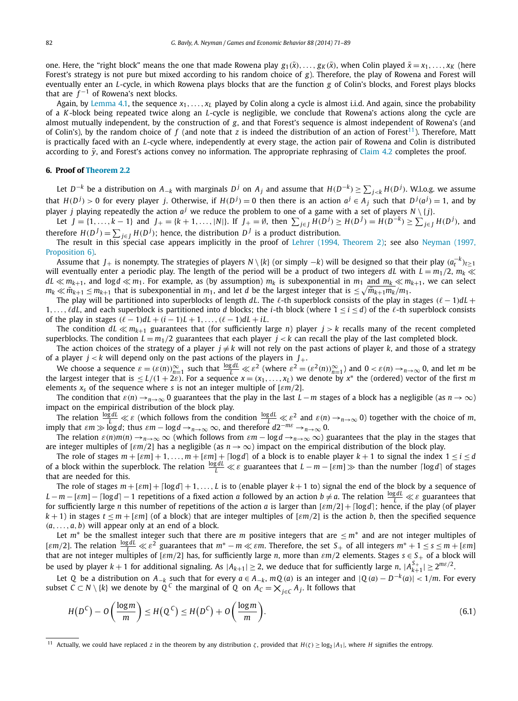<span id="page-11-0"></span>one. Here, the "right block" means the one that made Rowena play  $g_1(\bar{x}),..., g_K(\bar{x})$ , when Colin played  $\bar{x} = x_1,...,x_K$  (here Forest's strategy is not pure but mixed according to his random choice of *g*). Therefore, the play of Rowena and Forest will eventually enter an *L*-cycle, in which Rowena plays blocks that are the function *g* of Colin's blocks, and Forest plays blocks that are  $f^{-1}$  of Rowena's next blocks.

Again, by [Lemma 4.1,](#page-9-0) the sequence  $x_1, \ldots, x_L$  played by Colin along a cycle is almost i.i.d. And again, since the probability of a *K*-block being repeated twice along an *L*-cycle is negligible, we conclude that Rowena's actions along the cycle are almost mutually independent, by the construction of *g*, and that Forest's sequence is almost independent of Rowena's (and of Colin's), by the random choice of f (and note that  $z$  is indeed the distribution of an action of Forest<sup>11</sup>). Therefore, Matt is practically faced with an *L*-cycle where, independently at every stage, the action pair of Rowena and Colin is distributed according to  $\bar{y}$ , and Forest's actions convey no information. The appropriate rephrasing of [Claim 4.2](#page-9-0) completes the proof.

### **6. Proof of [Theorem](#page-4-0) 2.2**

Let  $D^{-k}$  be a distribution on  $A_{-k}$  with marginals  $D^j$  on  $A_j$  and assume that  $H(D^{-k}) \geq \sum_{j < k} H(D^j)$ . W.l.o.g. we assume that  $H(D^j) > 0$  for every player j. Otherwise, if  $H(D^j) = 0$  then there is an action  $a^j \in A_j$  such that  $D^j(a^j) = 1$ , and by player *j* playing repeatedly the action  $a^j$  we reduce the problem to one of a game with a set of players  $N \setminus \{j\}$ .

Let  $J = \{1, ..., k-1\}$  and  $J_+ = \{k+1, ..., |N|\}$ . If  $J_+ = \emptyset$ , then  $\sum_{j \in J} H(D^j) \ge H(D^J) = H(D^{-k}) \ge \sum_{j \in J} H(D^j)$ , and therefore  $H(D^J) = \sum_{j \in J} H(D^j)$ ; hence, the distribution  $D^J$  is a product distribution.

The result in this special case appears implicitly in the proof of Lehrer (1994, [Theorem 2\);](#page-18-0) see also [Neyman](#page-18-0) (1997, [Proposition 6\).](#page-18-0)

Assume that  $J_+$  is nonempty. The strategies of players  $N\setminus\{k\}$  (or simply  $-k$ ) will be designed so that their play  $(a_t^{-k})_{t\geq 1}$ will eventually enter a periodic play. The length of the period will be a product of two integers *dL* with  $L = m_1/2$ ,  $m_k \ll$  $dL \ll m_{k+1}$ , and  $\log d \ll m_1$ . For example, as (by assumption)  $m_k$  is subexponential in  $m_1$  and  $m_k \ll m_{k+1}$ , we can select  $m_k \ll \bar{m}_{k+1} \le m_{k+1}$  that is subexponential in  $m_1$ , and let  $d$  be the largest integer that is  $\le \sqrt{\bar{m}_{k+1} m_k}/m_1.$ 

The play will be partitioned into superblocks of length *dL*. The  $\ell$ -th superblock consists of the play in stages  $(\ell - 1)dL$  + 1,...,  $\ell dL$ , and each superblock is partitioned into *d* blocks; the *i*-th block (where  $1 \le i \le d$ ) of the  $\ell$ -th superblock consists of the play in stages  $(\ell - 1)dL + (i - 1)L + 1, ..., (\ell - 1)dL + iL$ .

The condition  $dL \ll m_{k+1}$  guarantees that (for sufficiently large *n*) player  $j > k$  recalls many of the recent completed superblocks. The condition  $L = m_1/2$  guarantees that each player  $j < k$  can recall the play of the last completed block.

The action choices of the strategy of a player  $j \neq k$  will not rely on the past actions of player *k*, and those of a strategy of a player  $j < k$  will depend only on the past actions of the players in  $J_{+}$ .

We choose a sequence  $\varepsilon = (\varepsilon(n))_{n=1}^{\infty}$  such that  $\frac{\log dL}{L} \ll \varepsilon^2$  (where  $\varepsilon^2 = (\varepsilon^2(n))_{n=1}^{\infty}$ ) and  $0 < \varepsilon(n) \to_{n \to \infty} 0$ , and let m be the largest integer that is  $\leq L/(1+2\varepsilon)$ . For a sequence  $x = (x_1, \ldots, x_L)$  we denote by  $x^*$  the (ordered) vector of the first *m* elements *xs* of the sequence where *s* is not an integer multiple of [*εm/*2].

The condition that  $\varepsilon(n) \to_{n \to \infty} 0$  guarantees that the play in the last  $L - m$  stages of a block has a negligible (as  $n \to \infty$ ) impact on the empirical distribution of the block play.

The relation  $\frac{\log dL}{L} \ll \varepsilon$  (which follows from the condition  $\frac{\log dL}{L} \ll \varepsilon^2$  and  $\varepsilon(n) \to_{n \to \infty} 0$ ) together with the choice of *m*,  $\log d$ ; that  $\epsilon m \gg \log d$ ; thus  $\epsilon m - \log d \rightarrow_{n \to \infty} \infty$ , and therefore  $d2^{-m\epsilon} \rightarrow_{n \to \infty} 0$ .

The relation  $\varepsilon(n)m(n) \to_{n \to \infty} \infty$  (which follows from  $\varepsilon m - \log d \to_{n \to \infty} \infty$ ) guarantees that the play in the stages that are integer multiples of  $\lceil \varepsilon m/2 \rceil$  has a negligible (as  $n \to \infty$ ) impact on the empirical distribution of the block play.

The role of stages  $m + [em] + 1, \ldots, m + [em] + [\log d]$  of a block is to enable player  $k + 1$  to signal the index  $1 \le i \le d$ of a block within the superblock. The relation  $\frac{\log dL}{L}\ll\varepsilon$  guarantees that  $L-m-[\varepsilon m]\gg$  than the number  $\lceil\log d\rceil$  of stages that are needed for this.

The role of stages  $m + \lfloor \varepsilon m \rfloor + \lceil \log d \rceil + 1, \ldots, L$  is to (enable player  $k + 1$  to) signal the end of the block by a sequence of *L* − *m* − [ $\varepsilon$ *m*] − [log*d*] − 1 repetitions of a fixed action *a* followed by an action *b* ≠ *a*. The relation  $\frac{\log dL}{L} \ll \varepsilon$  guarantees that for sufficiently large *n* this number of repetitions of the action *a* is larger than  $[\varepsilon m/2] + \lceil \log d \rceil$ ; hence, if the play (of player  $k+1$ ) in stages  $t \le m + \lceil \varepsilon m \rceil$  (of a block) that are integer multiples of  $\lceil \varepsilon m/2 \rceil$  is the action *b*, then the specified sequence  $(a, \ldots, a, b)$  will appear only at an end of a block.

Let *m*<sup>∗</sup> be the smallest integer such that there are *m* positive integers that are ≤ *m*<sup>∗</sup> and are not integer multiples of  $[\varepsilon m/2]$ . The relation  $\frac{\log dL}{L}\ll\varepsilon^2$  guarantees that  $m^*-m\ll\varepsilon m$ . Therefore, the set  $S_+$  of all integers  $m^*+1\leq s\leq m+[\varepsilon m]$ that are not integer multiples of [*εm/*2] has, for sufficiently large *n*, more than *εm/*2 elements. Stages *s* ∈ *S*<sup>+</sup> of a block will be used by player  $k+1$  for additional signaling. As  $|A_{k+1}| \geq 2$ , we deduce that for sufficiently large  $n$ ,  $|A_{k+1}^{S_+}| \geq 2^{m\epsilon/2}$ .

Let Q be a distribution on  $A_{-k}$  such that for every  $a\in A_{-k}$ ,  $m\mathbb{Q}(a)$  is an integer and  $|\mathbb{Q}(a)-D^{-k}(a)|< 1/m$ . For every subset *C* ⊂ *N*  $\setminus$  {*k*} we denote by *Q*<sup> *C*</sup> the marginal of *Q* on *A<sub>C</sub>* =  $\times$  *j*<sub>∈</sub>*C A<sub>j</sub>*. It follows that

$$
H(D^{C}) - O\left(\frac{\log m}{m}\right) \le H(Q^{C}) \le H(D^{C}) + O\left(\frac{\log m}{m}\right). \tag{6.1}
$$

<sup>&</sup>lt;sup>11</sup> Actually, we could have replaced *z* in the theorem by any distribution *ζ*, provided that  $H(\zeta) \geq \log_2 |A_1|$ , where *H* signifies the entropy.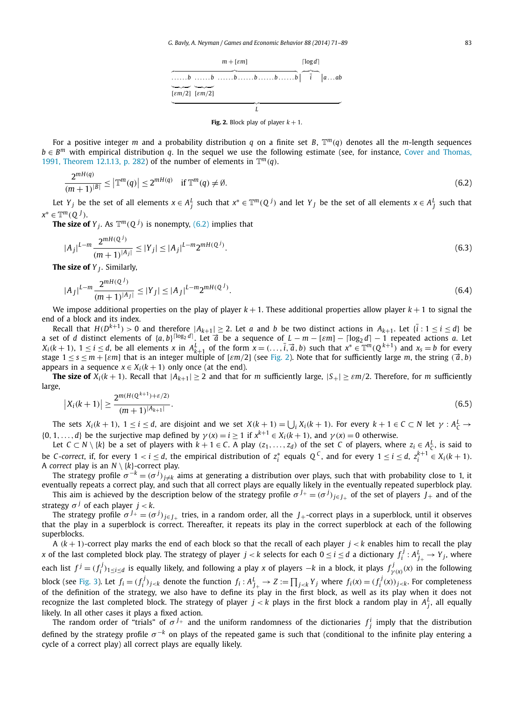

**Fig. 2.** Block play of player  $k + 1$ .

<span id="page-12-0"></span>For a positive integer *m* and a probability distribution *q* on a finite set *B*,  $\mathbb{T}^m(q)$  denotes all the *m*-length sequences  $b \in B^m$  with empirical distribution *q*. In the sequel we use the following estimate (see, for instance, Cover and [Thomas,](#page-18-0) 1991, [Theorem](#page-18-0) 12.1.13, p. 282) of the number of elements in  $\mathbb{T}^m(q)$ .

$$
\frac{2^{mH(q)}}{(m+1)^{|B|}} \le |\mathbb{T}^m(q)| \le 2^{mH(q)} \quad \text{if } \mathbb{T}^m(q) \neq \emptyset. \tag{6.2}
$$

Let  $Y_j$  be the set of all elements  $x\in A_j^L$  such that  $x^*\in\mathbb{T}^m(Q^j)$  and let  $Y_j$  be the set of all elements  $x\in A_j^L$  such that *x*<sup>∗</sup> ∈ T*<sup>m</sup>(Q <sup>J</sup> )*.

**The size of**  $Y_j$ . As  $\mathbb{T}^m(Q^j)$  is nonempty, (6.2) implies that

$$
|A_j|^{L-m} \frac{2^{mH(Q^j)}}{(m+1)^{|A_j|}} \le |Y_j| \le |A_j|^{L-m} 2^{mH(Q^j)}.
$$
\n(6.3)

**The size of** *Y <sup>J</sup>* . Similarly,

$$
|A_J|^{L-m} \frac{2^{mH(Q^J)}}{(m+1)^{|A_J|}} \le |Y_J| \le |A_J|^{L-m} 2^{mH(Q^J)}.
$$
\n(6.4)

We impose additional properties on the play of player  $k + 1$ . These additional properties allow player  $k + 1$  to signal the end of a block and its index.

Recall that  $H(D^{k+1}) > 0$  and therefore  $|A_{k+1}| \geq 2$ . Let *a* and *b* be two distinct actions in  $A_{k+1}$ . Let  $\{\vec{i} : 1 \leq i \leq d\}$  be a set of *d* distinct elements of  $\{a, b\}^{\lceil \log_2 d \rceil}$ . Let  $\vec{a}$  be a sequence of  $L - m - \lfloor \varepsilon m \rfloor - \lceil \log_2 d \rceil - 1$  repeated actions *a*. Let  $X_i(k+1)$ ,  $1 \le i \le d$ , be all elements x in  $A_{k+1}^L$  of the form  $x = (\ldots, \overline{i}, \overline{d}, b)$  such that  $x^* \in \mathbb{T}^m(Q^{k+1})$  and  $x_s = b$  for every stage  $1 \le s \le m + [\varepsilon m]$  that is an integer multiple of  $[\varepsilon m/2]$  (see Fig. 2). Note that for sufficiently large *m*, the string  $(\vec{a}, \vec{b})$ appears in a sequence  $x \in X_i(k + 1)$  only once (at the end).

**The size of**  $X_i(k + 1)$ . Recall that  $|A_{k+1}| \ge 2$  and that for *m* sufficiently large,  $|S_+| \ge \varepsilon m/2$ . Therefore, for *m* sufficiently large, <sup>2</sup>*m(H(<sup>Q</sup> <sup>k</sup>*+1*)*+*ε/*2*)*

$$
\left|X_i(k+1)\right| \ge \frac{2^{m(H(\mathbf{Q}^{n+1}) + \varepsilon/2)}}{(m+1)^{|A_{k+1}|}}.\tag{6.5}
$$

The sets  $X_i(k + 1)$ ,  $1 \le i \le d$ , are disjoint and we set  $X(k + 1) = \bigcup_i X_i(k + 1)$ . For every  $k + 1 \in C \subset N$  let  $\gamma : A_C^L \to$ {0, 1, ..., *d*} be the surjective map defined by  $\gamma(x) = i \ge 1$  if  $x^{k+1} \in X_i(k+1)$ , and  $\gamma(x) = 0$  otherwise.

Let  $C \subset N \setminus \{k\}$  be a set of players with  $k+1 \in C$ . A play  $(z_1,\ldots,z_d)$  of the set C of players, where  $z_i \in A_C^L$ , is said to be *C*-correct, if, for every  $1 < i \leq d$ , the empirical distribution of  $z_i^*$  equals  $Q^C$ , and for every  $1 \leq i \leq d$ ,  $z_i^{k+1} \in X_i(k+1)$ . A *correct* play is an  $N \setminus \{k\}$ -correct play.

The strategy profile  $\sigma^{-k}=(\sigma^j)_{j\neq k}$  aims at generating a distribution over plays, such that with probability close to 1, it eventually repeats a correct play, and such that all correct plays are equally likely in the eventually repeated superblock play.

This aim is achieved by the description below of the strategy profile  $\sigma^{J+}=(\sigma^{j})_{j\in J_+}$  of the set of players  $J_+$  and of the strategy  $\sigma^{j}$  of each player  $j < k$ .

The strategy profile  $\sigma^{J+}=(\sigma^{j})_{j\in J_+}$  tries, in a random order, all the  $J_+$ -correct plays in a superblock, until it observes that the play in a superblock is correct. Thereafter, it repeats its play in the correct superblock at each of the following superblocks.

A  $(k + 1)$ -correct play marks the end of each block so that the recall of each player  $j < k$  enables him to recall the play *x* of the last completed block play. The strategy of player  $j < k$  selects for each  $0 \leq i \leq d$  a dictionary  $f_i^j : A_{J_+}^L \to Y_j$ , where each list  $f^j=(f^j_i)_{1\leq i\leq d}$  is equally likely, and following a play x of players  $-k$  in a block, it plays  $f^j_{\gamma(x)}(x)$  in the following block (see [Fig. 3\)](#page-13-0). Let  $f_i = (f_i^j)_{j < k}$  denote the function  $f_i : A^L_{J_+} \to Z := \prod_{j < k} Y_j$  where  $f_i(x) = (f_i^j(x))_{j < k}$ . For completeness of the definition of the strategy, we also have to define its play in the first block, as well as its play when it does not recognize the last completed block. The strategy of player  $j < k$  plays in the first block a random play in  $A^L_j$ , all equally likely. In all other cases it plays a fixed action.

The random order of "trials" of  $\sigma^{J_+}$  and the uniform randomness of the dictionaries  $f^i_j$  imply that the distribution defined by the strategy profile  $\sigma^{-k}$  on plays of the repeated game is such that (conditional to the infinite play entering a cycle of a correct play) all correct plays are equally likely.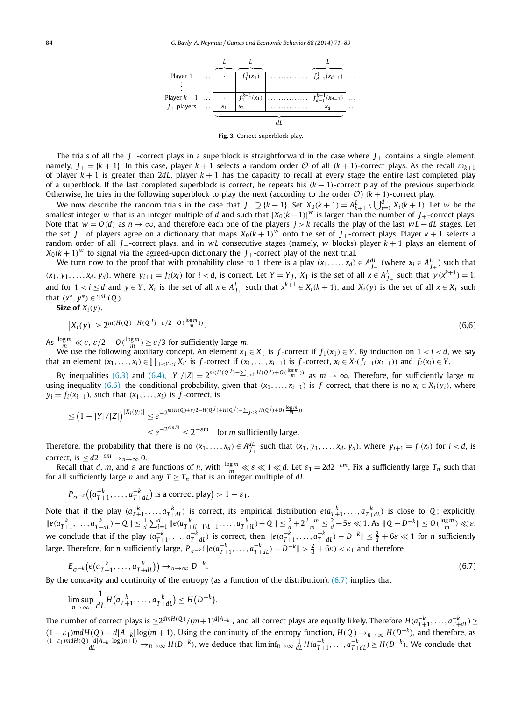

**Fig. 3.** Correct superblock play.

<span id="page-13-0"></span>The trials of all the  $J_{+}$ -correct plays in a superblock is straightforward in the case where  $J_{+}$  contains a single element, namely,  $J_{+} = \{k+1\}$ . In this case, player  $k+1$  selects a random order  $O$  of all  $(k+1)$ -correct plays. As the recall  $m_{k+1}$ of player  $k + 1$  is greater than 2*dL*, player  $k + 1$  has the capacity to recall at every stage the entire last completed play of a superblock. If the last completed superblock is correct, he repeats his  $(k + 1)$ -correct play of the previous superblock. Otherwise, he tries in the following superblock to play the next (according to the order  $\mathcal{O}$ )  $(k + 1)$ -correct play.

We now describe the random trials in the case that  $J_+ \supsetneq \{k+1\}$ . Set  $X_0(k+1) = A_{k+1}^L \setminus \bigcup_{i=1}^d X_i(k+1)$ . Let w be the smallest integer  $w$  that is an integer multiple of  $d$  and such that  $|X_0(k+1)|^w$  is larger than the number of  $J_+$ -correct plays. Note that  $w = O(d)$  as  $n \to \infty$ , and therefore each one of the players  $j > k$  recalls the play of the last  $wL + dL$  stages. Let the set  $J_+$  of players agree on a dictionary that maps  $X_0(k+1)^w$  onto the set of  $J_+$ -correct plays. Player  $k+1$  selects a random order of all *J*+-correct plays, and in *w L* consecutive stages (namely, *w* blocks) player *k* + 1 plays an element of  $X_0(k+1)^w$  to signal via the agreed-upon dictionary the *J*<sub>+</sub>-correct play of the next trial.

We turn now to the proof that with probability close to 1 there is a play  $(x_1,\ldots,x_d)\in A^{dL}_{J_+}$  (where  $x_i\in A^{L}_{J_+}$ ) such that  $(x_1, y_1, \ldots, x_d, y_d)$ , where  $y_{i+1} = f_i(x_i)$  for  $i < d$ , is correct. Let  $Y = Y_j$ ,  $X_1$  is the set of all  $x \in A_{J_+}^L$  such that  $\gamma(x^{k+1}) = 1$ , and for  $1 < i \le d$  and  $y \in Y$ ,  $X_i$  is the set of all  $x \in A_{J_+}^L$  such that  $x^{k+1} \in X_i(k+1)$ , and  $X_i(y)$  is the set of all  $x \in X_i$  such that  $(x^*, y^*) \in \mathbb{T}^m(Q)$ .

**Size of** *Xi(y)*.

$$
\left|X_i(y)\right| \ge 2^{m(H(Q)-H(Q^J)+\varepsilon/2 - O(\frac{\log m}{m}))}.
$$
\n(6.6)

As  $\frac{\log m}{m} \ll \varepsilon$ ,  $\varepsilon/2 - O(\frac{\log m}{m}) \ge \varepsilon/3$  for sufficiently large *m*.

We use the following auxiliary concept. An element  $x_1 \in X_1$  is *f*-correct if  $f_1(x_1) \in Y$ . By induction on  $1 < i < d$ , we say that an element  $(x_1,...,x_i) \in \prod_{1 \le i' \le i} X_{i'}$  is f-correct if  $(x_1,...,x_{i-1})$  is f-correct,  $x_i \in X_i(f_{i-1}(x_{i-1}))$  and  $f_i(x_i) \in Y$ .

By inequalities [\(6.3\)](#page-12-0) and [\(6.4\),](#page-12-0)  $|Y|/|Z| = 2^{m(H(Q^J) - \sum_{j \le k} H(Q^j) + O(\frac{\log m}{m}))}$  as  $m \to \infty$ . Therefore, for sufficiently large m. using inequality (6.6), the conditional probability, given that  $(x_1, \ldots, x_{i-1})$  is *f*-correct, that there is no  $x_i \in X_i(y_i)$ , where  $y_i = f_i(x_{i-1})$ , such that  $(x_1, \ldots, x_i)$  is *f*-correct, is

$$
\leq (1-|Y|/|Z|)^{|X_i(y_i)|} \leq e^{-2^{m(H(Q)+\varepsilon/2-H(Q^J)+H(Q^J)-\sum_{j  

$$
\leq e^{-2^{\varepsilon m/3}} \leq 2^{-\varepsilon m} \text{ for } m \text{ sufficiently large.}
$$
$$

Therefore, the probability that there is no  $(x_1,...,x_d) \in A_{J_+}^{dL}$  such that  $(x_1, y_1,...,x_d, y_d)$ , where  $y_{i+1} = f_i(x_i)$  for  $i < d$ , is correct, is  $\leq d2^{-\varepsilon m} \to_{n \to \infty} 0$ .

Recall that *d*, *m*, and  $\varepsilon$  are functions of *n*, with  $\frac{\log m}{m} \ll \varepsilon \ll 1 \ll d$ . Let  $\varepsilon_1 = 2d2^{-\varepsilon m}$ . Fix a sufficiently large  $T_n$  such that for all sufficiently large *n* and any  $T \geq T_n$  that is an integer multiple of dL,

$$
P_{\sigma^{-k}}\big((a_{T+1}^{-k},\ldots,a_{T+dL}^{-k})\text{ is a correct play}\big)>1-\varepsilon_1.
$$

Note that if the play  $(a_{T+1}^{-k},...,a_{T+dL}^{-k})$  is correct, its empirical distribution  $e(a_{T+1}^{-k},...,a_{T+dL}^{-k})$  is close to Q; explicitly,  $\|e(a_{T+1}^{-k},...,a_{T+dL}^{-k}) - Q\| \le \frac{1}{d} \sum_{i=1}^d \|e(a_{T+(i-1)L+1}^{-k},...,a_{T+iL}^{-k}) - Q\| \le \frac{2}{d} + 2\frac{L-m}{m} \le \frac{2}{d} + 5\varepsilon \ll 1.$  As  $\|Q - D^{-k}\| \le O(\frac{\log m}{m}) \ll \varepsilon$ , we conclude that if the play  $(a_{T+1}^{-k},...,a_{T+dL}^{-k})$  is correct, then  $\|e(a_{T+1}^{-k},...,a_{T+dL}^{-k})-D^{-k}\| \leq \frac{2}{d} + 6\varepsilon \ll 1$  for *n* sufficiently large. Therefore, for *n* sufficiently large,  $P_{\sigma^{-k}}(\|\mathcal{e}(a_{T+1}^{-k},\ldots,a_{T+dL}^{-k})-D^{-k}\|>\frac{2}{d}+6\varepsilon)<\varepsilon_1$  and therefore

$$
E_{\sigma^{-k}}(e(a_{T+1}^{-k},\ldots,a_{T+dL}^{-k})) \to_{n \to \infty} D^{-k}.
$$
\n(6.7)

By the concavity and continuity of the entropy (as a function of the distribution), (6.7) implies that

$$
\limsup_{n\to\infty}\frac{1}{dL}H\big(a_{T+1}^{-k},\ldots,a_{T+dL}^{-k}\big)\leq H\big(D^{-k}\big).
$$

The number of correct plays is  $\geq$  2<sup>dmH(Q)</sup>/(m+1)<sup>d|A\_<sub>k</sub>|</sup>, and all correct plays are equally likely. Therefore  $H(a_{T+1}^{-k},\ldots,a_{T+dL}^{-k})$   $\geq$  $(1 - \varepsilon_1) m dH(Q) - d|A_{-k}| \log(m+1)$ . Using the continuity of the entropy function,  $H(Q) \rightarrow_{n \rightarrow \infty} H(D^{-k})$ , and therefore, as  $\frac{(1-\varepsilon_1) m dH(Q) - d|A_{-k}| \log(m+1)}{dL} \rightarrow_{n \rightarrow \infty} H(D^{-k})$ , we deduce that  $\liminf_{n \rightarrow \infty} \frac{1}{dL} H(a_{T+1}^{-k}, \ldots,$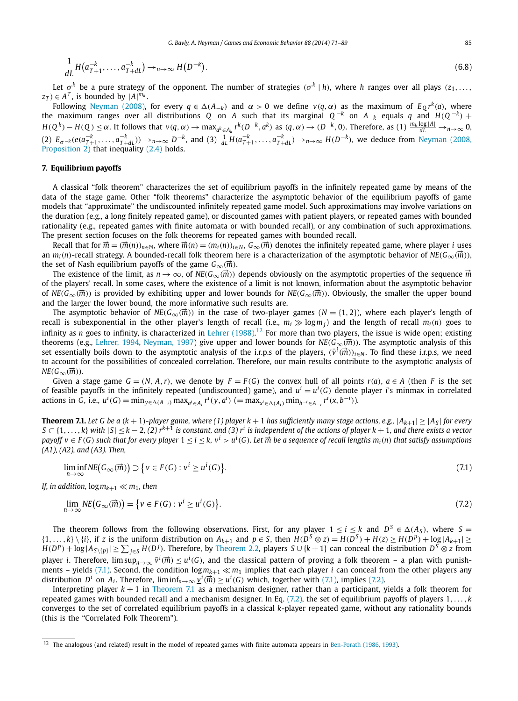<span id="page-14-0"></span>
$$
\frac{1}{dL}H\left(a_{T+1}^{-k},\ldots,a_{T+dL}^{-k}\right)\to_{n\to\infty}H\left(D^{-k}\right).
$$
\n(6.8)

Let *σ<sup>k</sup>* be a pure strategy of the opponent. The number of strategies *(σ<sup>k</sup>* | *h)*, where *h* ranges over all plays *(z*1*,...,*  $(z_T) \in A^T$ , is bounded by  $|A|^{m_k}$ .

Following [Neyman \(2008\),](#page-18-0) for every  $q \in \Delta(A_{-k})$  and  $\alpha > 0$  we define  $v(q, \alpha)$  as the maximum of  $E_0 r^k(a)$ , where the maximum ranges over all distributions *Q* on *A* such that its marginal  $Q^{-k}$  on  $A_{-k}$  equals *q* and  $H(Q^{-k})$  +  $H(Q^k) - H(Q) \leq \alpha$ . It follows that  $v(q,\alpha) \to \max_{a^k \in A_k} r^k(D^{-k},a^k)$  as  $(q,\alpha) \to (D^{-k},0)$ . Therefore, as  $(1)$   $\frac{m_k \log|A|}{dL} \to_{n \to \infty} 0$ , (2)  $E_{\sigma^{-k}}(e(a_{T+1}^{-k},...,a_{T+dt}^{-k})) \rightarrow_{n \rightarrow \infty} D^{-k}$ , and (3)  $\frac{1}{dL}H(a_{T+1}^{-k},...,a_{T+dt}^{-k}) \rightarrow_{n \rightarrow \infty} H(D^{-k})$ , we deduce from [Neyman](#page-18-0) (2008, [Proposition](#page-18-0) 2) that inequality [\(2.4\)](#page-4-0) holds.

#### **7. Equilibrium payoffs**

A classical "folk theorem" characterizes the set of equilibrium payoffs in the infinitely repeated game by means of the data of the stage game. Other "folk theorems" characterize the asymptotic behavior of the equilibrium payoffs of game models that "approximate" the undiscounted infinitely repeated game model. Such approximations may involve variations on the duration (e.g., a long finitely repeated game), or discounted games with patient players, or repeated games with bounded rationality (e.g., repeated games with finite automata or with bounded recall), or any combination of such approximations. The present section focuses on the folk theorems for repeated games with bounded recall.

Recall that for  $\vec{m}=(\vec{m}(n))_{n\in\mathbb{N}}$ , where  $\vec{m}(n)=(m_i(n))_{i\in N}$ ,  $G_\infty(\vec{m})$  denotes the infinitely repeated game, where player i uses an  $m_i(n)$ -recall strategy. A bounded-recall folk theorem here is a characterization of the asymptotic behavior of  $NE(G_{\infty}(\vec{m}))$ , the set of Nash equilibrium payoffs of the game  $G_{\infty}(\vec{m})$ .

The existence of the limit, as  $n\to\infty$ , of  $NE(G_{\infty}(\vec{m}))$  depends obviously on the asymptotic properties of the sequence  $\vec{m}$ of the players' recall. In some cases, where the existence of a limit is not known, information about the asymptotic behavior of  $NE(G_{\infty}(\vec{m}))$  is provided by exhibiting upper and lower bounds for  $NE(G_{\infty}(\vec{m}))$ . Obviously, the smaller the upper bound and the larger the lower bound, the more informative such results are.

The asymptotic behavior of  $NE(G_{\infty}(\vec{m}))$  in the case of two-player games  $(N=\{1,2\})$ , where each player's length of recall is subexponential in the other player's length of recall (i.e.,  $m_i \gg \log m_i$ ) and the length of recall  $m_i(n)$  goes to infinity as *n* goes to infinity, is characterized in [Lehrer \(1988\).](#page-18-0) <sup>12</sup> For more than two players, the issue is wide open; existing theorems (e.g., [Lehrer,](#page-18-0) 1994, [Neyman,](#page-18-0) 1997) give upper and lower bounds for *NE*( $G_{\infty}(\vec{m})$ ). The asymptotic analysis of this set essentially boils down to the asymptotic analysis of the i.r.p.s of the players,  $(\bar{v}^i(\vec{m}))_{i\in N}$ . To find these i.r.p.s, we need to account for the possibilities of concealed correlation. Therefore, our main results contribute to the asymptotic analysis of  $NE(G_{\infty}(\vec{m}))$ .

Given a stage game  $G = (N, A, r)$ , we denote by  $F = F(G)$  the convex hull of all points  $r(a)$ ,  $a \in A$  (then F is the set of feasible payoffs in the infinitely repeated (undiscounted) game), and  $u^i=u^i(G)$  denote player *i*'s minmax in correlated actions in G, i.e.,  $u^i(G) = \min_{y \in \Delta(A_{-i})} \max_{a^i \in A_i} r^i(y, a^i)$   $(= \max_{x^i \in \Delta(A_i)} \min_{b^{-i} \in A_{-i}} r^i(x, b^{-i}))$ .

**Theorem 7.1.** Let G be a  $(k + 1)$ -player game, where (1) player  $k + 1$  has sufficiently many stage actions, e.g.,  $|A_{k+1}| > |A_{\cal S}|$  for every  $S \subset \{1,\ldots,k\}$  with  $|S| \le k-2$ , (2)  $r^{k+1}$  is constant, and (3)  $r^i$  is independent of the actions of player  $k+1$ , and there exists a vector payoff  $v\in F(G)$  such that for every player  $1\leq i\leq k$ ,  $v^i>u^i(G)$ . Let  $\vec{\overline{m}}$  be a sequence of recall lengths  $m_i(n)$  that satisfy assumptions *(A1), (A2), and (A3). Then,*

$$
\liminf_{n \to \infty} NE(G_{\infty}(\vec{m})) \supset \{v \in F(G) : v^i \ge u^i(G)\}.
$$
\n(7.1)

*If, in addition,*  $\log m_{k+1} \ll m_1$ *, then* 

$$
\lim_{n \to \infty} NE(G_{\infty}(\vec{m})) = \{ v \in F(G) : v^{i} \ge u^{i}(G) \}. \tag{7.2}
$$

The theorem follows from the following observations. First, for any player  $1 \le i \le k$  and  $D^S \in \Delta(A_S)$ , where  $S =$  $\{1,\ldots,k\}\$  if z is the uniform distribution on  $A_{k+1}$  and  $p \in S$ , then  $H(D^S \otimes z) = H(D^S) + H(z) \geq H(D^p) + \log |A_{k+1}| \geq$  $H(D^p)+\log|A_{S\setminus\{p\}}|\geq\sum_{j\in S}H(D^j).$  Therefore, by [Theorem 2.2,](#page-4-0) players  $S\cup\{k+1\}$  can conceal the distribution  $D^S\otimes\mathcal{Z}$  from player *i*. Therefore, lim sup<sub>n→∞</sub>  $\bar{v}^i(\vec{m}) \le u^i(G)$ , and the classical pattern of proving a folk theorem – a plan with punishments – yields (7.1). Second, the condition  $\log m_{k+1} \ll m_1$  implies that each player *i* can conceal from the other players any distribution *D*<sup>*i*</sup> on *A<sub>i</sub>*. Therefore,  $\liminf_{n\to\infty} \frac{v^i}{(n)} \ge u^i(G)$  which, together with (7.1), implies (7.2).

Interpreting player *k* + 1 in Theorem 7.1 as a mechanism designer, rather than a participant, yields a folk theorem for repeated games with bounded recall and a mechanism designer. In Eq. (7.2), the set of equilibrium payoffs of players 1*,...,k* converges to the set of correlated equilibrium payoffs in a classical *k*-player repeated game, without any rationality bounds (this is the "Correlated Folk Theorem").

<sup>12</sup> The analogous (and related) result in the model of repeated games with finite automata appears in Ben-Porath [\(1986, 1993\).](#page-18-0)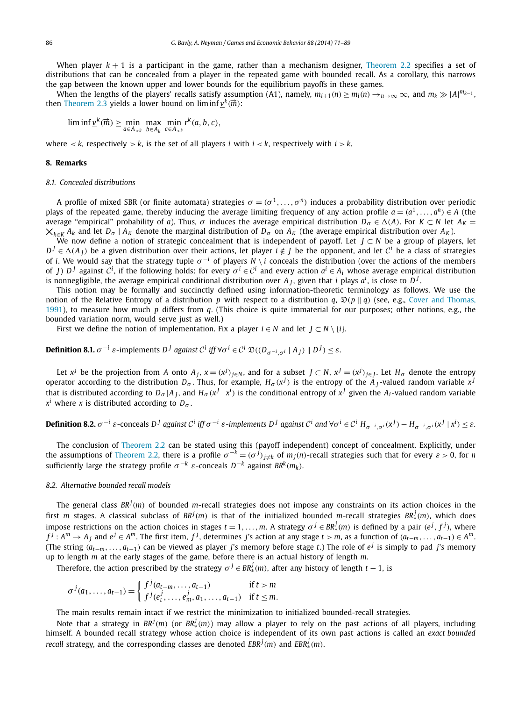<span id="page-15-0"></span>When player  $k + 1$  is a participant in the game, rather than a mechanism designer, [Theorem 2.2](#page-4-0) specifies a set of distributions that can be concealed from a player in the repeated game with bounded recall. As a corollary, this narrows the gap between the known upper and lower bounds for the equilibrium payoffs in these games.

When the lengths of the players' recalls satisfy assumption (A1), namely,  $m_{i+1}(n) \ge m_i(n) \to_{n \to \infty} \infty$ , and  $m_k \gg |A|^{m_{k-1}}$ , then [Theorem 2.3](#page-5-0) yields a lower bound on liminf  $v^k(\vec{m})$ :

$$
\liminf \underline{v}^k(\vec{m}) \ge \min_{a \in A_{< k}} \max_{b \in A_k} \min_{c \in A_{> k}} r^k(a, b, c),
$$

where  $\langle k, k \rangle$  respectively  $\langle k, k \rangle$  is the set of all players *i* with  $i \langle k, k \rangle$  respectively with  $i \rangle k$ .

#### **8. Remarks**

#### *8.1. Concealed distributions*

A profile of mixed SBR (or finite automata) strategies  $\sigma = (\sigma^1, \ldots, \sigma^n)$  induces a probability distribution over periodic plays of the repeated game, thereby inducing the average limiting frequency of any action profile  $a = (a^1, \ldots, a^n) \in A$  (the average "empirical" probability of *a*). Thus,  $\sigma$  induces the average empirical distribution  $D_{\sigma} \in \Delta(A)$ . For  $K \subset N$  let  $A_K =$  $X_{k \in K}$  *A<sub>k</sub>* and let  $D_{\sigma}$  | *A<sub>K</sub>* denote the marginal distribution of  $D_{\sigma}$  on  $A_K$  (the average empirical distribution over  $A_K$ ).

We now define a notion of strategic concealment that is independent of payoff. Let *J* ⊂ *N* be a group of players, let  $D^f \in \Delta(A_I)$  be a given distribution over their actions, let player  $i \notin J$  be the opponent, and let  $C^i$  be a class of strategies of *i*. We would say that the strategy tuple  $\sigma^{-i}$  of players *N* \ *i* conceals the distribution (over the actions of the members of *J*)  $D^J$  against  $C^i$ , if the following holds: for every  $\sigma^i \in C^i$  and every action  $a^i \in A_i$  whose average empirical distribution is nonnegligible, the average empirical conditional distribution over  $A_j$ , given that *i* plays  $a^i$ , is close to  $D^J$ .

This notion may be formally and succinctly defined using information-theoretic terminology as follows. We use the notion of the Relative Entropy of a distribution *p* with respect to a distribution *q*,  $\mathfrak{D}(p \parallel q)$  (see, e.g., Cover and [Thomas,](#page-18-0) [1991\)](#page-18-0), to measure how much *p* differs from *q*. (This choice is quite immaterial for our purposes; other notions, e.g., the bounded variation norm, would serve just as well.)

First we define the notion of implementation. Fix a player  $i \in N$  and let  $J \subset N \setminus \{i\}$ .

**Definition 8.1.**  $\sigma^{-i} \varepsilon$ -implements  $D^J$  against  $C^i$  iff  $\forall \sigma^i \in C^i \mathfrak{D}((D_{\sigma^{-i}, \sigma^i} \mid A_J) \parallel D^J) \leq \varepsilon$ .

Let  $x^j$  be the projection from A onto  $A_j$ ,  $x=(x^j)_{j\in N}$ , and for a subset  $J\subset N$ ,  $x^J=(x^j)_{j\in J}$ . Let  $H_\sigma$  denote the entropy operator according to the distribution  $D_{\sigma}$ . Thus, for example,  $H_{\sigma}(x^J)$  is the entropy of the  $A_J$ -valued random variable  $x^J$ that is distributed according to  $D_\sigma|A_J$ , and  $H_\sigma(x^J\,|\,x^i)$  is the conditional entropy of  $x^J$  given the  $A_i$ -valued random variable  $x^{i}$  where *x* is distributed according to  $D_{\sigma}$ .

**Definition 8.2.**  $\sigma^{-i}$   $\varepsilon$ -conceals  $D^J$  against  $C^i$  iff  $\sigma^{-i}$   $\varepsilon$ -implements  $D^J$  against  $C^i$  and  $\forall \sigma^i \in C^i$   $H_{\sigma^{-i},\sigma^i}(x^J) - H_{\sigma^{-i},\sigma^i}(x^J \mid x^i) \leq \varepsilon$ .

The conclusion of [Theorem 2.2](#page-4-0) can be stated using this (payoff independent) concept of concealment. Explicitly, under the assumptions of [Theorem 2.2,](#page-4-0) there is a profile  $\sigma^{-k}=(\sigma^j)_{j\neq k}$  of  $m_j(n)$ -recall strategies such that for every  $\varepsilon>0$ , for n sufficiently large the strategy profile  $\sigma^{-k}$  *ε*-conceals  $D^{-k}$  against  $BR^{k}(m_{k})$ .

#### *8.2. Alternative bounded recall models*

The general class *BR<sup>j</sup> (m)* of bounded *m*-recall strategies does not impose any constraints on its action choices in the first *m* stages. A classical subclass of BR<sup>j</sup>(m) is that of the initialized bounded *m*-recall strategies BR $^{j}_{*}$ (m), which does impose restrictions on the action choices in stages  $t=1,\ldots,m$ . A strategy  $\sigma^j\in BR^j_*(m)$  is defined by a pair  $(e^j, f^j)$ , where  $f^j: A^m\to A_j$  and  $e^j\in A^m$ . The first item,  $f^j$ , determines j's action at any stage  $t>m$ , as a function of  $(a_{t-m},\ldots,a_{t-1})\in A^m$ . (The string  $(a_{t-m},...,a_{t-1})$  can be viewed as player *j*'s memory before stage *t*.) The role of *e*<sup>*j*</sup> is simply to pad *j*'s memory up to length *m* at the early stages of the game, before there is an actual history of length *m*.

Therefore, the action prescribed by the strategy  $\sigma^j \in BR^j_*(m)$ , after any history of length  $t-1$ , is

$$
\sigma^{j}(a_1,\ldots,a_{t-1}) = \begin{cases} f^{j}(a_{t-m},\ldots,a_{t-1}) & \text{if } t > m \\ f^{j}(e_t^{j},\ldots,e_m^{j},a_1,\ldots,a_{t-1}) & \text{if } t \leq m. \end{cases}
$$

The main results remain intact if we restrict the minimization to initialized bounded-recall strategies.

Note that a strategy in BR $^j(m)$  (or BR $^j_*(m)$ ) may allow a player to rely on the past actions of all players, including himself. A bounded recall strategy whose action choice is independent of its own past actions is called an *exact bounded recall* strategy, and the corresponding classes are denoted  $\textit{EBR}^{j}(m)$  and  $\textit{EBR}^{j}_{*}(m)$ .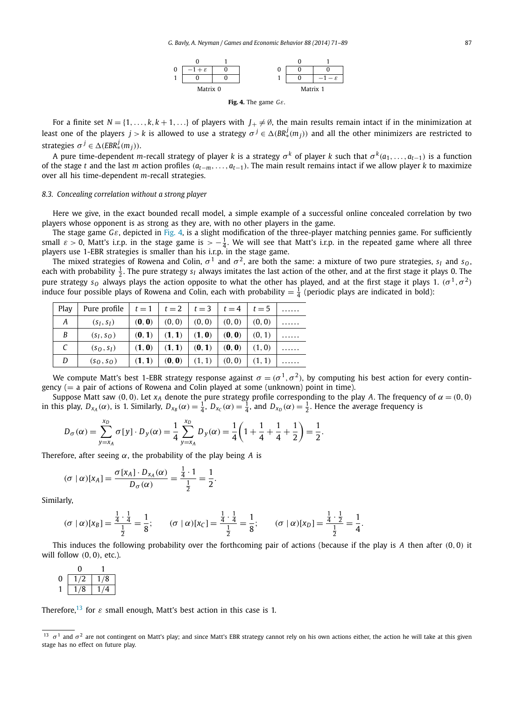

**Fig. 4.** The game *Gε*.

<span id="page-16-0"></span>For a finite set  $N = \{1, \ldots, k, k+1, \ldots\}$  of players with  $J_+ \neq \emptyset$ , the main results remain intact if in the minimization at least one of the players  $j > k$  is allowed to use a strategy  $\sigma^j \in \Delta(BR_*^j(m_j))$  and all the other minimizers are restricted to  $\text{strategies } \sigma^j \in \Delta(\textit{EBR}^j_*(m_j)).$ 

A pure time-dependent *m*-recall strategy of player *k* is a strategy  $\sigma^k$  of player *k* such that  $\sigma^k(a_1, \ldots, a_{t-1})$  is a function of the stage *t* and the last *m* action profiles *(at*−*m,...,at*−1*)*. The main result remains intact if we allow player *k* to maximize over all his time-dependent *m*-recall strategies.

#### *8.3. Concealing correlation without a strong player*

Here we give, in the exact bounded recall model, a simple example of a successful online concealed correlation by two players whose opponent is as strong as they are, with no other players in the game.

The stage game *Gε*, depicted in Fig. 4, is a slight modification of the three-player matching pennies game. For sufficiently small  $\varepsilon > 0$ , Matt's i.r.p. in the stage game is  $> -\frac{1}{4}$ . We will see that Matt's i.r.p. in the repeated game where all three players use 1-EBR strategies is smaller than his i.r.p. in the stage game.

The mixed strategies of Rowena and Colin,  $\sigma^1$  and  $\sigma^2$ , are both the same: a mixture of two pure strategies,  $s_I$  and  $s_O$ , each with probability  $\frac{1}{2}$ . The pure strategy  $s_I$  always imitates the last action of the other, and at the first stage it plays 0. The pure strategy  $s_0$  always plays the action opposite to what the other has played, and at the first stage it plays 1.  $(\sigma^1, \sigma^2)$ induce four possible plays of Rowena and Colin, each with probability  $=\frac{1}{4}$  (periodic plays are indicated in bold):

| Play | Pure profile $ t=1 t=2 t=3 t=4 t=5 $ |        |        |                            |        |        |   |
|------|--------------------------------------|--------|--------|----------------------------|--------|--------|---|
| А    | $(s_I, s_I)$                         | (0, 0) | (0, 0) | (0, 0)                     | (0,0)  | (0, 0) | . |
| B    | $(s_I, s_O)$                         | (0, 1) | (1, 1) | $(1, 0)$ $(0, 0)$ $(0, 1)$ |        |        | . |
|      | $(s_0, s_1)$                         | (1, 0) | (1, 1) | $(0,1)$ $(0,0)$            |        | (1, 0) | . |
| D    | $(s_0, s_0)$                         | (1, 1) | (0, 0) | (1, 1)                     | (0, 0) | (1, 1) |   |

We compute Matt's best 1-EBR strategy response against  $\sigma = (\sigma^1, \sigma^2)$ , by computing his best action for every contingency  $(= a \text{ pair of actions of Rowena and Colin played at some (unknown) point in time).$ 

Suppose Matt saw (0, 0). Let  $x_A$  denote the pure strategy profile corresponding to the play *A*. The frequency of  $α = (0, 0)$ in this play,  $D_{x_A}(\alpha)$ , is 1. Similarly,  $D_{x_B}(\alpha) = \frac{1}{4}$ ,  $D_{x_C}(\alpha) = \frac{1}{4}$ , and  $D_{x_D}(\alpha) = \frac{1}{2}$ . Hence the average frequency is

$$
D_{\sigma}(\alpha) = \sum_{y=x_A}^{x_D} \sigma[y] \cdot D_y(\alpha) = \frac{1}{4} \sum_{y=x_A}^{x_D} D_y(\alpha) = \frac{1}{4} \left( 1 + \frac{1}{4} + \frac{1}{4} + \frac{1}{2} \right) = \frac{1}{2}.
$$

Therefore, after seeing *α*, the probability of the play being *A* is

$$
(\sigma \mid \alpha)[x_A] = \frac{\sigma[x_A] \cdot D_{x_A}(\alpha)}{D_{\sigma}(\alpha)} = \frac{\frac{1}{4} \cdot 1}{\frac{1}{2}} = \frac{1}{2}.
$$

Similarly,

$$
(\sigma \mid \alpha)[x_B] = \frac{\frac{1}{4} \cdot \frac{1}{4}}{\frac{1}{2}} = \frac{1}{8}; \qquad (\sigma \mid \alpha)[x_C] = \frac{\frac{1}{4} \cdot \frac{1}{4}}{\frac{1}{2}} = \frac{1}{8}; \qquad (\sigma \mid \alpha)[x_D] = \frac{\frac{1}{4} \cdot \frac{1}{2}}{\frac{1}{2}} = \frac{1}{4}.
$$

This induces the following probability over the forthcoming pair of actions (because if the play is *A* then after *(*0*,* 0*)* it will follow *(*0*,* 0*)*, etc.).

$$
\begin{array}{c|cc}\n & 0 & 1 \\
0 & \overline{1/2} & \overline{1/8} \\
1 & \overline{1/8} & \overline{1/4}\n\end{array}
$$

Therefore,<sup>13</sup> for  $\varepsilon$  small enough, Matt's best action in this case is 1.

 $13$  *σ*<sup>1</sup> and *σ*<sup>2</sup> are not contingent on Matt's play; and since Matt's EBR strategy cannot rely on his own actions either, the action he will take at this given stage has no effect on future play.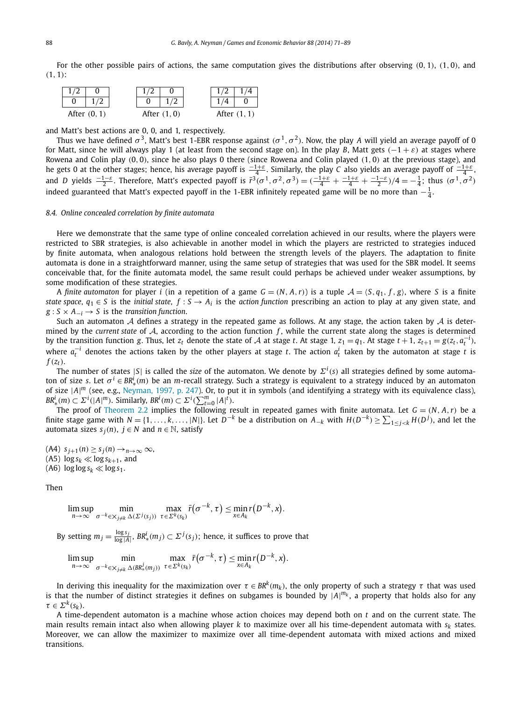<span id="page-17-0"></span>For the other possible pairs of actions, the same computation gives the distributions after observing *(*0*,* 1*)*, *(*1*,* 0*)*, and *(*1*,* 1*)*:

| After $(0, 1)$ |  | After $(1,0)$ |  | After $(1, 1)$ |  |
|----------------|--|---------------|--|----------------|--|

and Matt's best actions are 0, 0, and 1, respectively.

Thus we have defined  $\sigma^3$ . Matt's best 1-EBR response against  $(\sigma^1, \sigma^2)$ . Now, the play *A* will yield an average payoff of 0 for Matt, since he will always play 1 (at least from the second stage on). In the play *B*, Matt gets  $(-1 + \varepsilon)$  at stages where Rowena and Colin play *(*0*,* 0*)*, since he also plays 0 there (since Rowena and Colin played *(*1*,* 0*)* at the previous stage), and he gets 0 at the other stages; hence, his average payoff is  $\frac{-1+\varepsilon}{4}$ . Similarly, the play *C* also yields an average payoff of  $\frac{-1+\varepsilon}{4}$ , and D yields  $\frac{-1-\varepsilon}{2}$ . Therefore, Matt's expected payoff is  $\bar{r}^3(\sigma^1, \sigma^2, \sigma^3) = (\frac{-1+\varepsilon}{4} + \frac{-1+\varepsilon}{4} + \frac{-1-\varepsilon}{2})/4 = -\frac{1}{4}$ ; thus  $(\sigma^1, \sigma^2)$ indeed guaranteed that Matt's expected payoff in the 1-EBR infinitely repeated game will be no more than  $-\frac{1}{4}$ .

#### *8.4. Online concealed correlation by finite automata*

Here we demonstrate that the same type of online concealed correlation achieved in our results, where the players were restricted to SBR strategies, is also achievable in another model in which the players are restricted to strategies induced by finite automata, when analogous relations hold between the strength levels of the players. The adaptation to finite automata is done in a straightforward manner, using the same setup of strategies that was used for the SBR model. It seems conceivable that, for the finite automata model, the same result could perhaps be achieved under weaker assumptions, by some modification of these strategies.

A finite automaton for player *i* (in a repetition of a game  $G = (N, A, r)$ ) is a tuple  $A = (S, q_1, f, g)$ , where S is a finite *state space*,  $q_1 \in S$  is the *initial state*,  $f : S \to A_i$  is the *action function* prescribing an action to play at any given state, and  $g: S \times A_{-i} \rightarrow S$  is the *transition function*.

Such an automaton  $A$  defines a strategy in the repeated game as follows. At any stage, the action taken by  $A$  is determined by the *current state* of  $A$ , according to the action function  $f$ , while the current state along the stages is determined by the transition function g. Thus, let  $z_t$  denote the state of A at stage t. At stage 1,  $z_1 = q_1$ . At stage  $t + 1$ ,  $z_{t+1} = g(z_t, a_t^{-1})$ , where *a*−*<sup>i</sup> <sup>t</sup>* denotes the actions taken by the other players at stage *<sup>t</sup>*. The action *<sup>a</sup><sup>i</sup> <sup>t</sup>* taken by the automaton at stage *t* is  $f(z_t)$ .

The number of states |*S*| is called the *size* of the automaton. We denote by *Σ<sup>i</sup> (s)* all strategies defined by some automaton of size *s*. Let *σ <sup>i</sup>* ∈ *BR<sup>i</sup>* <sup>∗</sup>*(m)* be an *m*-recall strategy. Such a strategy is equivalent to a strategy induced by an automaton of size |A|<sup>m</sup> (see, e.g., [Neyman,](#page-18-0) 1997, p. 247). Or, to put it in symbols (and identifying a strategy with its equivalence class),  $BR^i_*(m) \subset \Sigma^i(|A|^m)$ . Similarly,  $BR^i(m) \subset \Sigma^i(\sum_{t=0}^m |A|^t)$ .

The proof of [Theorem 2.2](#page-4-0) implies the following result in repeated games with finite automata. Let  $G = (N, A, r)$  be a finite stage game with  $N = \{1, \ldots, k, \ldots, |N|\}$ . Let  $D^{-k}$  be a distribution on  $A_{-k}$  with  $H(D^{-k}) \ge \sum_{1 \le j < k} H(D^j)$ , and let the automata sizes  $s_i(n)$ ,  $j \in N$  and  $n \in \mathbb{N}$ , satisfy

 $(A4)$   $s_{j+1}(n) \geq s_j(n) \rightarrow_{n \rightarrow \infty} \infty$ ,  $($ A5 $)$   $\log s_k \ll \log s_{k+1}$ , and  $($ A6 $)$   $\log \log s_k \ll \log s_1$ .

Then

$$
\limsup_{n\to\infty}\min_{\sigma^{-k}\in\mathsf{X}_{j\neq k}}\max_{\Delta(\Sigma^j(s_j))}\max_{\tau\in\Sigma^k(s_k)}\bar{r}(\sigma^{-k},\tau)\leq\min_{x\in A_k}r(D^{-k},x).
$$

By setting  $m_j = \frac{\log s_j}{\log |A|}$ ,  $BR^i_*(m_j) \subset \Sigma^j(s_j)$ ; hence, it suffices to prove that

$$
\limsup_{n\to\infty}\min_{\sigma^{-k}\in\mathsf{X}_{j\neq k}\Delta(BR^j_*(m_j))}\max_{\tau\in\mathit{\Sigma}^k(s_k)}\bar{r}(\sigma^{-k},\tau)\leq \min_{x\in A_k}r(D^{-k},x).
$$

In deriving this inequality for the maximization over *τ* ∈ *BR<sup>k</sup>*( $m_k$ ), the only property of such a strategy *τ* that was used is that the number of distinct strategies it defines on subgames is bounded by  $|A|^{m_k}$ , a property that holds also for any  $τ ∈ Σ<sup>k</sup>(s<sub>k</sub>)$ .

A time-dependent automaton is a machine whose action choices may depend both on *t* and on the current state. The main results remain intact also when allowing player *k* to maximize over all his time-dependent automata with *sk* states. Moreover, we can allow the maximizer to maximize over all time-dependent automata with mixed actions and mixed transitions.